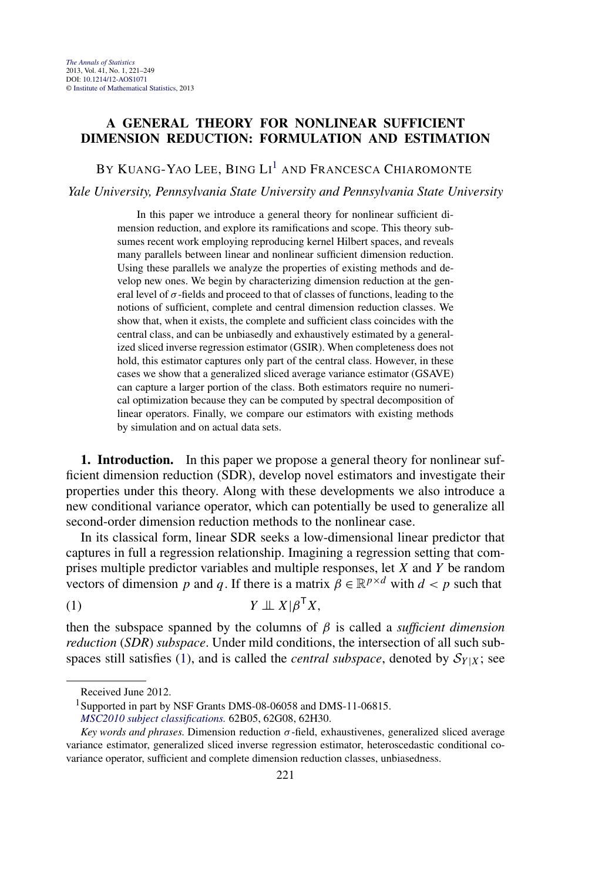## <span id="page-0-0"></span>**A GENERAL THEORY FOR NONLINEAR SUFFICIENT DIMENSION REDUCTION: FORMULATION AND ESTIMATION**

BY KUANG-YAO LEE, BING LI<sup>1</sup> and Francesca Chiaromonte

*Yale University, Pennsylvania State University and Pennsylvania State University*

In this paper we introduce a general theory for nonlinear sufficient dimension reduction, and explore its ramifications and scope. This theory subsumes recent work employing reproducing kernel Hilbert spaces, and reveals many parallels between linear and nonlinear sufficient dimension reduction. Using these parallels we analyze the properties of existing methods and develop new ones. We begin by characterizing dimension reduction at the general level of  $\sigma$ -fields and proceed to that of classes of functions, leading to the notions of sufficient, complete and central dimension reduction classes. We show that, when it exists, the complete and sufficient class coincides with the central class, and can be unbiasedly and exhaustively estimated by a generalized sliced inverse regression estimator (GSIR). When completeness does not hold, this estimator captures only part of the central class. However, in these cases we show that a generalized sliced average variance estimator (GSAVE) can capture a larger portion of the class. Both estimators require no numerical optimization because they can be computed by spectral decomposition of linear operators. Finally, we compare our estimators with existing methods by simulation and on actual data sets.

**1. Introduction.** In this paper we propose a general theory for nonlinear sufficient dimension reduction (SDR), develop novel estimators and investigate their properties under this theory. Along with these developments we also introduce a new conditional variance operator, which can potentially be used to generalize all second-order dimension reduction methods to the nonlinear case.

In its classical form, linear SDR seeks a low-dimensional linear predictor that captures in full a regression relationship. Imagining a regression setting that comprises multiple predictor variables and multiple responses, let *X* and *Y* be random vectors of dimension *p* and *q*. If there is a matrix  $\beta \in \mathbb{R}^{p \times d}$  with  $d < p$  such that

$$
(1) \t Y \perp \!\!\!\perp X \vert \beta^{\mathsf{T}} X,
$$

then the subspace spanned by the columns of *β* is called a *sufficient dimension reduction* (*SDR*) *subspace*. Under mild conditions, the intersection of all such subspaces still satisfies (1), and is called the *central subspace*, denoted by  $S_{Y|X}$ ; see

Received June 2012.

<sup>&</sup>lt;sup>1</sup>Supported in part by NSF Grants DMS-08-06058 and DMS-11-06815.

*[MSC2010 subject classifications.](http://www.ams.org/mathscinet/msc/msc2010.html)* 62B05, 62G08, 62H30.

*Key words and phrases.* Dimension reduction *σ*-field, exhaustivenes, generalized sliced average variance estimator, generalized sliced inverse regression estimator, heteroscedastic conditional covariance operator, sufficient and complete dimension reduction classes, unbiasedness.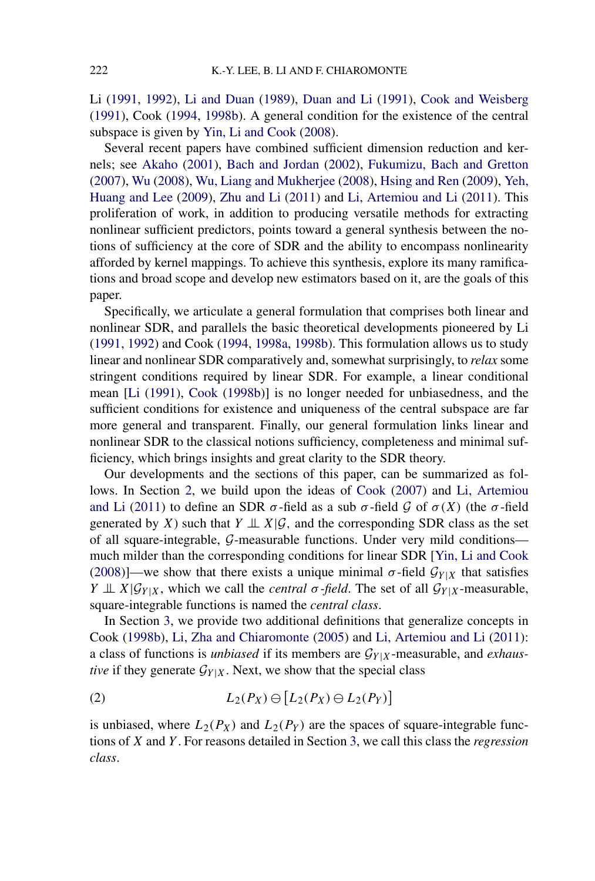<span id="page-1-0"></span>Li [\(1991,](#page-27-0) [1992\)](#page-27-0), [Li and Duan](#page-27-0) [\(1989\)](#page-27-0), [Duan and Li](#page-27-0) [\(1991\)](#page-27-0), [Cook and Weisberg](#page-27-0) [\(1991\)](#page-27-0), Cook [\(1994,](#page-26-0) [1998b\)](#page-26-0). A general condition for the existence of the central subspace is given by [Yin, Li and Cook](#page-27-0) [\(2008\)](#page-27-0).

Several recent papers have combined sufficient dimension reduction and kernels; see [Akaho](#page-26-0) [\(2001\)](#page-26-0), [Bach and Jordan](#page-26-0) [\(2002\)](#page-26-0), [Fukumizu, Bach and Gretton](#page-27-0) [\(2007\)](#page-27-0), [Wu](#page-27-0) [\(2008\)](#page-27-0), [Wu, Liang and Mukherjee](#page-27-0) [\(2008\)](#page-27-0), [Hsing and Ren](#page-27-0) [\(2009\)](#page-27-0), [Yeh,](#page-27-0) [Huang and Lee](#page-27-0) [\(2009\)](#page-27-0), [Zhu and Li](#page-28-0) [\(2011\)](#page-28-0) and [Li, Artemiou and Li](#page-27-0) [\(2011\)](#page-27-0). This proliferation of work, in addition to producing versatile methods for extracting nonlinear sufficient predictors, points toward a general synthesis between the notions of sufficiency at the core of SDR and the ability to encompass nonlinearity afforded by kernel mappings. To achieve this synthesis, explore its many ramifications and broad scope and develop new estimators based on it, are the goals of this paper.

Specifically, we articulate a general formulation that comprises both linear and nonlinear SDR, and parallels the basic theoretical developments pioneered by Li [\(1991,](#page-27-0) [1992\)](#page-27-0) and Cook [\(1994,](#page-26-0) [1998a,](#page-26-0) [1998b\)](#page-26-0). This formulation allows us to study linear and nonlinear SDR comparatively and, somewhat surprisingly, to *relax* some stringent conditions required by linear SDR. For example, a linear conditional mean [\[Li](#page-27-0) [\(1991\)](#page-27-0), [Cook](#page-26-0) [\(1998b\)](#page-26-0)] is no longer needed for unbiasedness, and the sufficient conditions for existence and uniqueness of the central subspace are far more general and transparent. Finally, our general formulation links linear and nonlinear SDR to the classical notions sufficiency, completeness and minimal sufficiency, which brings insights and great clarity to the SDR theory.

Our developments and the sections of this paper, can be summarized as follows. In Section [2,](#page-2-0) we build upon the ideas of [Cook](#page-26-0) [\(2007\)](#page-26-0) and [Li, Artemiou](#page-27-0) [and](#page-27-0) Li [\(2011\)](#page-27-0) to define an SDR  $\sigma$ -field as a sub  $\sigma$ -field  $\mathcal G$  of  $\sigma(X)$  (the  $\sigma$ -field generated by *X*) such that  $Y \perp \perp X | \mathcal{G}$ , and the corresponding SDR class as the set of all square-integrable, G-measurable functions. Under very mild conditions much milder than the corresponding conditions for linear SDR [\[Yin, Li and Cook](#page-27-0) [\(2008\)](#page-27-0)]—we show that there exists a unique minimal  $\sigma$ -field  $\mathcal{G}_{Y|X}$  that satisfies  $Y \perp\!\!\!\perp X | \mathcal{G}_{Y|X}$ , which we call the *central*  $\sigma$ -field. The set of all  $\mathcal{G}_{Y|X}$ -measurable, square-integrable functions is named the *central class*.

In Section [3,](#page-5-0) we provide two additional definitions that generalize concepts in Cook [\(1998b\)](#page-26-0), [Li, Zha and Chiaromonte](#page-27-0) [\(2005\)](#page-27-0) and [Li, Artemiou and Li](#page-27-0) [\(2011\)](#page-27-0): a class of functions is *unbiased* if its members are  $\mathcal{G}_{Y|X}$ -measurable, and *exhaustive* if they generate  $\mathcal{G}_{Y|X}$ . Next, we show that the special class

$$
(2) \tL_2(P_X) \ominus [L_2(P_X) \ominus L_2(P_Y)]
$$

is unbiased, where  $L_2(P_X)$  and  $L_2(P_Y)$  are the spaces of square-integrable functions of *X* and *Y* . For reasons detailed in Section [3,](#page-5-0) we call this class the *regression class*.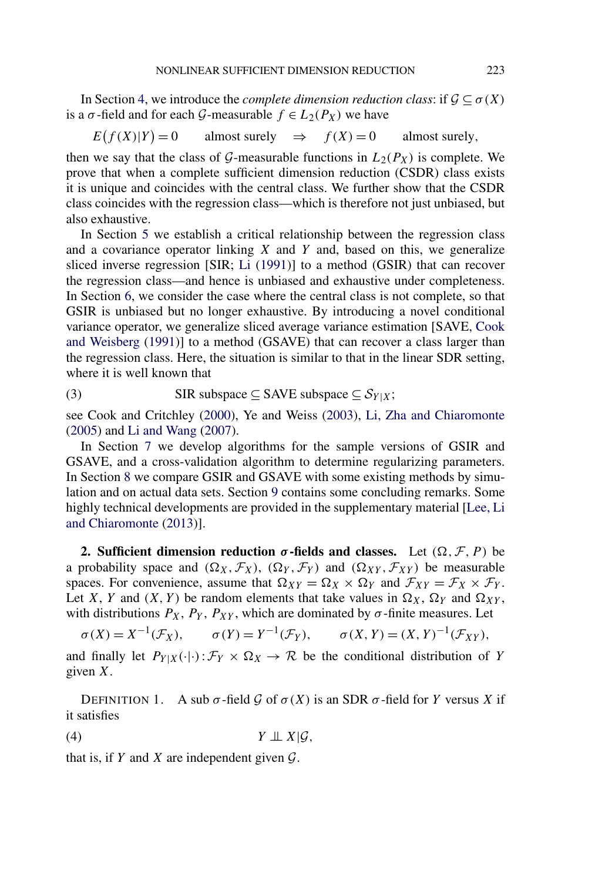<span id="page-2-0"></span>In Section [4,](#page-6-0) we introduce the *complete dimension reduction class*: if  $\mathcal{G} \subseteq \sigma(X)$ is a  $\sigma$ -field and for each G-measurable  $f \in L_2(P_X)$  we have

$$
E(f(X)|Y) = 0
$$
 almost surely  $\Rightarrow$   $f(X) = 0$  almost surely,

then we say that the class of G-measurable functions in  $L_2(P_X)$  is complete. We prove that when a complete sufficient dimension reduction (CSDR) class exists it is unique and coincides with the central class. We further show that the CSDR class coincides with the regression class—which is therefore not just unbiased, but also exhaustive.

In Section [5](#page-9-0) we establish a critical relationship between the regression class and a covariance operator linking *X* and *Y* and, based on this, we generalize sliced inverse regression [SIR; [Li](#page-27-0) [\(1991\)](#page-27-0)] to a method (GSIR) that can recover the regression class—and hence is unbiased and exhaustive under completeness. In Section [6,](#page-13-0) we consider the case where the central class is not complete, so that GSIR is unbiased but no longer exhaustive. By introducing a novel conditional variance operator, we generalize sliced average variance estimation [SAVE, [Cook](#page-27-0) [and Weisberg](#page-27-0) [\(1991\)](#page-27-0)] to a method (GSAVE) that can recover a class larger than the regression class. Here, the situation is similar to that in the linear SDR setting, where it is well known that

(3) SIR subspace 
$$
\subseteq
$$
 SAVE subspace  $\subseteq$  S<sub>Y|X</sub>;

see Cook and Critchley [\(2000\)](#page-26-0), Ye and Weiss [\(2003\)](#page-27-0), [Li, Zha and Chiaromonte](#page-27-0) [\(2005\)](#page-27-0) and [Li and Wang](#page-27-0) [\(2007\)](#page-27-0).

In Section [7](#page-16-0) we develop algorithms for the sample versions of GSIR and GSAVE, and a cross-validation algorithm to determine regularizing parameters. In Section [8](#page-21-0) we compare GSIR and GSAVE with some existing methods by simulation and on actual data sets. Section [9](#page-24-0) contains some concluding remarks. Some highly technical developments are provided in the supplementary material [\[Lee, Li](#page-27-0) [and Chiaromonte](#page-27-0) [\(2013\)](#page-27-0)].

**2.** Sufficient dimension reduction  $\sigma$ -fields and classes. Let  $(\Omega, \mathcal{F}, P)$  be a probability space and  $(\Omega_X, \mathcal{F}_X)$ ,  $(\Omega_Y, \mathcal{F}_Y)$  and  $(\Omega_{XY}, \mathcal{F}_{XY})$  be measurable spaces. For convenience, assume that  $\Omega_{XY} = \Omega_X \times \Omega_Y$  and  $\mathcal{F}_{XY} = \mathcal{F}_X \times \mathcal{F}_Y$ . Let *X*, *Y* and *(X, Y)* be random elements that take values in  $\Omega_X$ ,  $\Omega_Y$  and  $\Omega_{XY}$ , with distributions  $P_X$ ,  $P_Y$ ,  $P_{XY}$ , which are dominated by  $\sigma$ -finite measures. Let

 $\sigma(X) = X^{-1}(\mathcal{F}_X), \qquad \sigma(Y) = Y^{-1}(\mathcal{F}_Y), \qquad \sigma(X, Y) = (X, Y)^{-1}(\mathcal{F}_{XY}),$ 

and finally let  $P_{Y|X}(\cdot|\cdot):\mathcal{F}_Y\times \Omega_X\to \mathcal{R}$  be the conditional distribution of *Y* given *X*.

DEFINITION 1. A sub  $\sigma$ -field  $\mathcal G$  of  $\sigma(X)$  is an SDR  $\sigma$ -field for *Y* versus *X* if it satisfies

$$
(4) \t Y \perp\!\!\!\perp X | \mathcal{G},
$$

that is, if  $Y$  and  $X$  are independent given  $\mathcal{G}$ .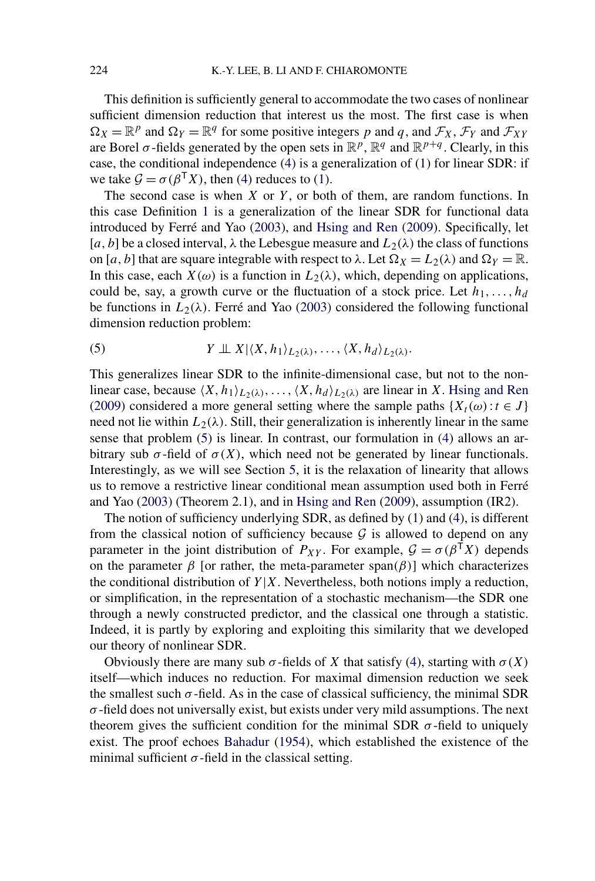This definition is sufficiently general to accommodate the two cases of nonlinear sufficient dimension reduction that interest us the most. The first case is when  $\Omega_X = \mathbb{R}^p$  and  $\Omega_Y = \mathbb{R}^q$  for some positive integers *p* and *q*, and  $\mathcal{F}_X$ ,  $\mathcal{F}_Y$  and  $\mathcal{F}_{XY}$ are Borel  $\sigma$ -fields generated by the open sets in  $\mathbb{R}^p$ ,  $\mathbb{R}^q$  and  $\mathbb{R}^{p+q}$ . Clearly, in this case, the conditional independence [\(4\)](#page-2-0) is a generalization of [\(1\)](#page-0-0) for linear SDR: if we take  $\mathcal{G} = \sigma(\beta^{\mathsf{T}}X)$ , then [\(4\)](#page-2-0) reduces to [\(1\)](#page-0-0).

The second case is when *X* or *Y* , or both of them, are random functions. In this case Definition [1](#page-2-0) is a generalization of the linear SDR for functional data introduced by Ferré and Yao [\(2003\)](#page-27-0), and [Hsing and Ren](#page-27-0) [\(2009\)](#page-27-0). Specifically, let [*a*, *b*] be a closed interval,  $\lambda$  the Lebesgue measure and  $L_2(\lambda)$  the class of functions on [*a*, *b*] that are square integrable with respect to  $\lambda$ . Let  $\Omega_X = L_2(\lambda)$  and  $\Omega_Y = \mathbb{R}$ . In this case, each  $X(\omega)$  is a function in  $L_2(\lambda)$ , which, depending on applications, could be, say, a growth curve or the fluctuation of a stock price. Let  $h_1, \ldots, h_d$ be functions in  $L_2(\lambda)$ . Ferré and Yao [\(2003\)](#page-27-0) considered the following functional dimension reduction problem:

(5) 
$$
Y \perp \perp X | \langle X, h_1 \rangle_{L_2(\lambda)}, \ldots, \langle X, h_d \rangle_{L_2(\lambda)}
$$
.

This generalizes linear SDR to the infinite-dimensional case, but not to the nonlinear case, because  $\langle X, h_1 \rangle_{L_2(\lambda)}, \ldots, \langle X, h_d \rangle_{L_2(\lambda)}$  are linear in *X*. [Hsing and Ren](#page-27-0) [\(2009\)](#page-27-0) considered a more general setting where the sample paths  $\{X_t(\omega): t \in J\}$ need not lie within  $L_2(\lambda)$ . Still, their generalization is inherently linear in the same sense that problem (5) is linear. In contrast, our formulation in [\(4\)](#page-2-0) allows an arbitrary sub  $\sigma$ -field of  $\sigma(X)$ , which need not be generated by linear functionals. Interestingly, as we will see Section [5,](#page-9-0) it is the relaxation of linearity that allows us to remove a restrictive linear conditional mean assumption used both in Ferré and Yao [\(2003\)](#page-27-0) (Theorem 2.1), and in [Hsing and Ren](#page-27-0) [\(2009\)](#page-27-0), assumption (IR2).

The notion of sufficiency underlying SDR, as defined by [\(1\)](#page-0-0) and [\(4\)](#page-2-0), is different from the classical notion of sufficiency because  $G$  is allowed to depend on any parameter in the joint distribution of  $P_{XY}$ . For example,  $\mathcal{G} = \sigma(\beta^{T}X)$  depends on the parameter  $\beta$  [or rather, the meta-parameter span $(\beta)$ ] which characterizes the conditional distribution of  $Y|X$ . Nevertheless, both notions imply a reduction, or simplification, in the representation of a stochastic mechanism—the SDR one through a newly constructed predictor, and the classical one through a statistic. Indeed, it is partly by exploring and exploiting this similarity that we developed our theory of nonlinear SDR.

Obviously there are many sub  $\sigma$ -fields of *X* that satisfy [\(4\)](#page-2-0), starting with  $\sigma$ (*X*) itself—which induces no reduction. For maximal dimension reduction we seek the smallest such  $\sigma$ -field. As in the case of classical sufficiency, the minimal SDR  $\sigma$ -field does not universally exist, but exists under very mild assumptions. The next theorem gives the sufficient condition for the minimal SDR  $\sigma$ -field to uniquely exist. The proof echoes [Bahadur](#page-26-0) [\(1954\)](#page-26-0), which established the existence of the minimal sufficient  $\sigma$ -field in the classical setting.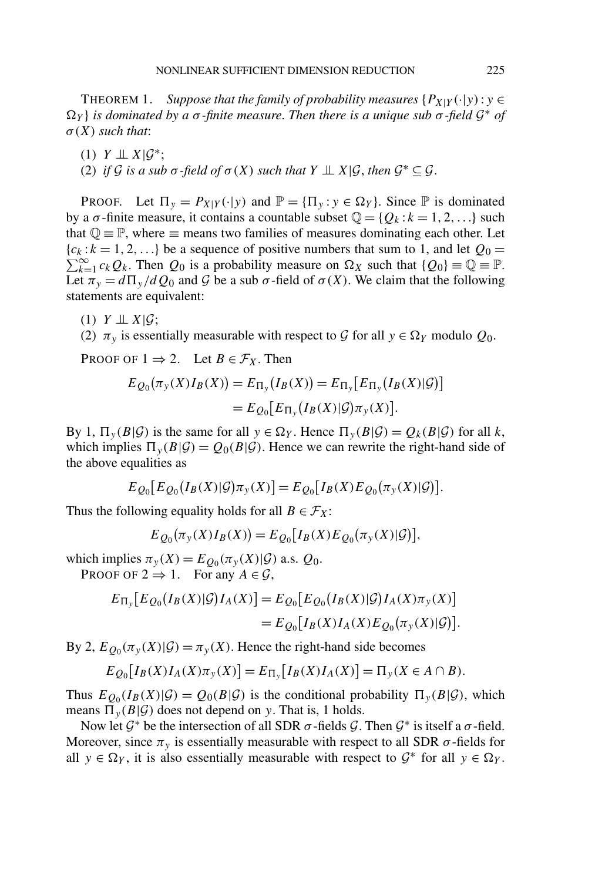<span id="page-4-0"></span>THEOREM 1. *Suppose that the family of probability measures*  $\{P_{X|Y}(\cdot|y): y \in$  $\Omega$ <sup>*Y*</sup> *} is dominated by a σ -finite measure. Then there is a unique sub σ* -*field*  $\mathcal{G}^*$  *of σ(X) such that*:

- $(1)$  *Y*  $\perp \!\!\! \perp X|\mathcal{G}^*;$
- (2) *if* G *is a sub*  $\sigma$ -field of  $\sigma(X)$  *such that*  $Y \perp \perp X | \mathcal{G}$ , *then*  $\mathcal{G}^* \subseteq \mathcal{G}$ .

**PROOF.** Let  $\Pi_y = P_{X|Y}(\cdot|y)$  and  $\mathbb{P} = {\Pi_y : y \in \Omega_Y}$ . Since  $\mathbb{P}$  is dominated by a  $\sigma$ -finite measure, it contains a countable subset  $\mathbb{Q} = \{Q_k : k = 1, 2, \ldots\}$  such that  $\mathbb{Q} \equiv \mathbb{P}$ , where  $\equiv$  means two families of measures dominating each other. Let  ${c_k : k = 1, 2, \ldots}$  be a sequence of positive numbers that sum to 1, and let  $Q_0 =$  $\sum_{k=1}^{\infty} c_k Q_k$ . Then  $Q_0$  is a probability measure on  $\Omega_X$  such that  $\{Q_0\} \equiv \mathbb{Q} \equiv \mathbb{P}$ . Let  $\pi_y = d\Pi_y/dQ_0$  and G be a sub  $\sigma$ -field of  $\sigma(X)$ . We claim that the following statements are equivalent:

 $(1)$  *Y*  $\perp\!\!\!\perp$  *X*| $\mathcal{G}$ ;

(2)  $\pi_y$  is essentially measurable with respect to G for all  $y \in \Omega_Y$  modulo  $Q_0$ .

PROOF OF  $1 \Rightarrow 2$ . Let  $B \in \mathcal{F}_X$ . Then

$$
E_{Q_0}(\pi_y(X)I_B(X)) = E_{\Pi_y}(I_B(X)) = E_{\Pi_y}[E_{\Pi_y}(I_B(X)|\mathcal{G})]
$$
  
= 
$$
E_{Q_0}[E_{\Pi_y}(I_B(X)|\mathcal{G})\pi_y(X)].
$$

By 1,  $\Pi_{\nu}(B|\mathcal{G})$  is the same for all  $y \in \Omega_Y$ . Hence  $\Pi_{\nu}(B|\mathcal{G}) = Q_k(B|\mathcal{G})$  for all k, which implies  $\Pi_{y}(B|\mathcal{G}) = Q_0(B|\mathcal{G})$ . Hence we can rewrite the right-hand side of the above equalities as

$$
E_{Q_0}[E_{Q_0}(I_B(X)|\mathcal{G})\pi_y(X)] = E_{Q_0}[I_B(X)E_{Q_0}(\pi_y(X)|\mathcal{G})].
$$

Thus the following equality holds for all  $B \in \mathcal{F}_X$ :

$$
E_{Q_0}(\pi_y(X)I_B(X)) = E_{Q_0}[I_B(X)E_{Q_0}(\pi_y(X)|\mathcal{G})],
$$

which implies  $\pi_y(X) = E_{Q_0}(\pi_y(X)|\mathcal{G})$  a.s.  $Q_0$ . PROOF OF  $2 \Rightarrow 1$ . For any  $A \in \mathcal{G}$ ,

$$
E_{\Pi_y}[E_{Q_0}(I_B(X)|\mathcal{G})I_A(X)] = E_{Q_0}[E_{Q_0}(I_B(X)|\mathcal{G})I_A(X)\pi_y(X)]
$$
  
= 
$$
E_{Q_0}[I_B(X)I_A(X)E_{Q_0}(\pi_y(X)|\mathcal{G})].
$$

By 2,  $E_{Q_0}(\pi_\nu(X)|\mathcal{G}) = \pi_\nu(X)$ . Hence the right-hand side becomes

$$
E_{Q0}[I_B(X)I_A(X)\pi_y(X)] = E_{\Pi_y}[I_B(X)I_A(X)] = \Pi_y(X \in A \cap B).
$$

Thus  $E_{Q_0}(I_B(X)|\mathcal{G}) = Q_0(B|\mathcal{G})$  is the conditional probability  $\Pi_y(B|\mathcal{G})$ , which means  $\Pi_{\nu}(B|\mathcal{G})$  does not depend on *y*. That is, 1 holds.

Now let  $\mathcal{G}^*$  be the intersection of all SDR  $\sigma$ -fields  $\mathcal{G}$ . Then  $\mathcal{G}^*$  is itself a  $\sigma$ -field. Moreover, since  $\pi$ <sub>y</sub> is essentially measurable with respect to all SDR  $\sigma$ -fields for all  $y \in \Omega_Y$ , it is also essentially measurable with respect to  $\mathcal{G}^*$  for all  $y \in \Omega_Y$ .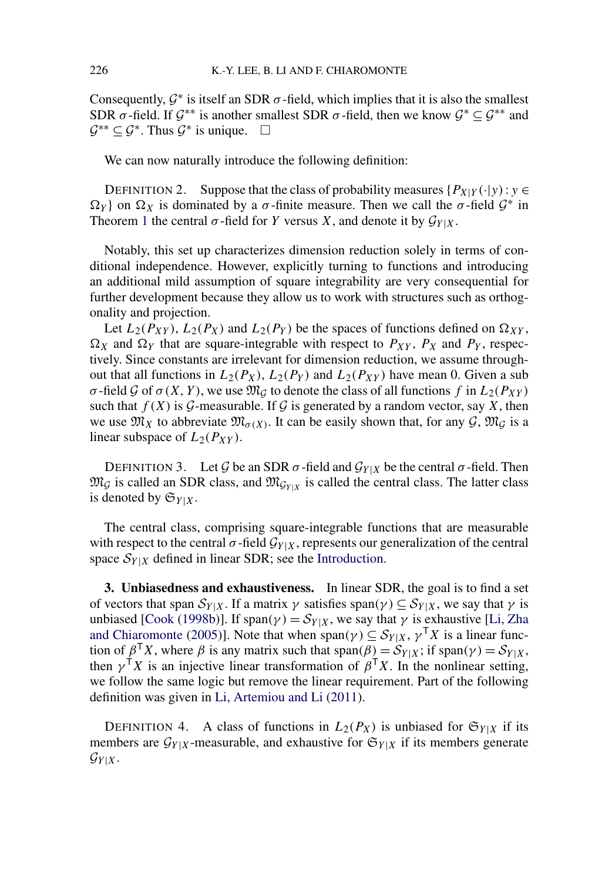<span id="page-5-0"></span>Consequently,  $\mathcal{G}^*$  is itself an SDR  $\sigma$ -field, which implies that it is also the smallest SDR  $\sigma$ -field. If  $\mathcal{G}^{**}$  is another smallest SDR  $\sigma$ -field, then we know  $\mathcal{G}^* \subseteq \mathcal{G}^{**}$  and  $\mathcal{G}^{**} \subseteq \mathcal{G}^*$ . Thus  $\mathcal{G}^*$  is unique.  $\Box$ 

We can now naturally introduce the following definition:

DEFINITION 2. Suppose that the class of probability measures  $\{P_{X|Y}(\cdot|y) : y \in$ *Ω*<sup>*Y*</sup> } on *Ω*<sup>*X*</sup> is dominated by a *σ*-finite measure. Then we call the *σ*-field  $G^*$  in Theorem [1](#page-4-0) the central  $\sigma$ -field for *Y* versus *X*, and denote it by  $\mathcal{G}_{Y|X}$ .

Notably, this set up characterizes dimension reduction solely in terms of conditional independence. However, explicitly turning to functions and introducing an additional mild assumption of square integrability are very consequential for further development because they allow us to work with structures such as orthogonality and projection.

Let  $L_2(P_{XY})$ ,  $L_2(P_X)$  and  $L_2(P_Y)$  be the spaces of functions defined on  $\Omega_{XY}$ ,  $\Omega_X$  and  $\Omega_Y$  that are square-integrable with respect to  $P_{XY}$ ,  $P_X$  and  $P_Y$ , respectively. Since constants are irrelevant for dimension reduction, we assume throughout that all functions in  $L_2(P_X)$ ,  $L_2(P_Y)$  and  $L_2(P_{XY})$  have mean 0. Given a sub *σ*-field  $\mathcal G$  of  $\sigma(X, Y)$ , we use  $\mathfrak{M}_{\mathcal G}$  to denote the class of all functions  $f$  in  $L_2(P_{XY})$ such that  $f(X)$  is  $G$ -measurable. If  $G$  is generated by a random vector, say  $X$ , then we use  $\mathfrak{M}_X$  to abbreviate  $\mathfrak{M}_{\sigma(X)}$ . It can be easily shown that, for any  $\mathcal{G}, \mathfrak{M}_\mathcal{G}$  is a linear subspace of  $L_2(P_{XY})$ .

DEFINITION 3. Let *G* be an SDR  $\sigma$ -field and  $\mathcal{G}_{Y|X}$  be the central  $\sigma$ -field. Then  $\mathfrak{M}_{\mathcal{G}}$  is called an SDR class, and  $\mathfrak{M}_{\mathcal{G}_{Y|X}}$  is called the central class. The latter class is denoted by  $\mathfrak{S}_{Y|X}$ .

The central class, comprising square-integrable functions that are measurable with respect to the central  $\sigma$ -field  $\mathcal{G}_{Y|X}$ , represents our generalization of the central space  $S_{Y|X}$  defined in linear SDR; see the [Introduction.](#page-0-0)

**3. Unbiasedness and exhaustiveness.** In linear SDR, the goal is to find a set of vectors that span  $S_{Y|X}$ . If a matrix  $\gamma$  satisfies span $(\gamma) \subseteq S_{Y|X}$ , we say that  $\gamma$  is unbiased [\[Cook](#page-26-0) [\(1998b\)](#page-26-0)]. If span $(\gamma) = S_{Y|X}$ , we say that  $\gamma$  is exhaustive [\[Li, Zha](#page-27-0) [and Chiaromonte](#page-27-0) [\(2005\)](#page-27-0)]. Note that when span( $\gamma$ )  $\subseteq$   $S_{Y|X}$ ,  $\gamma$ <sup>T</sup>X is a linear function of  $\beta^{\mathsf{T}}X$ , where  $\beta$  is any matrix such that span $(\beta) = \mathcal{S}_{Y|X}$ ; if span $(\gamma) = \mathcal{S}_{Y|X}$ , then  $\gamma^{\mathsf{T}} X$  is an injective linear transformation of  $\beta^{\mathsf{T}} X$ . In the nonlinear setting, we follow the same logic but remove the linear requirement. Part of the following definition was given in [Li, Artemiou and Li](#page-27-0) [\(2011\)](#page-27-0).

DEFINITION 4. A class of functions in  $L_2(P_X)$  is unbiased for  $\mathfrak{S}_{Y|X}$  if its members are  $\mathcal{G}_{Y|X}$ -measurable, and exhaustive for  $\mathfrak{S}_{Y|X}$  if its members generate  $\mathcal{G}_{Y|X}$ .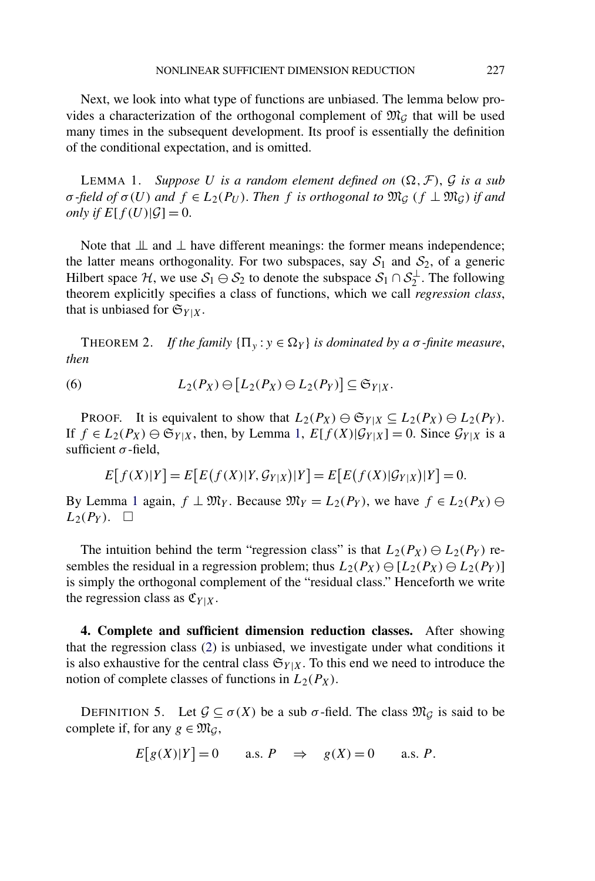<span id="page-6-0"></span>Next, we look into what type of functions are unbiased. The lemma below provides a characterization of the orthogonal complement of  $\mathfrak{M}_{\mathcal{G}}$  that will be used many times in the subsequent development. Its proof is essentially the definition of the conditional expectation, and is omitted.

LEMMA 1. Suppose U is a random element defined on  $(\Omega, \mathcal{F})$ , G is a sub *σ -field of*  $σ(U)$  *and*  $f ∈ L_2(P_U)$ . *Then f is orthogonal to*  $\mathfrak{M}_G$  ( $f ⊥ \mathfrak{M}_G$ ) *if and only if*  $E[f(U)|\mathcal{G}] = 0$ .

Note that  $\perp$  and  $\perp$  have different meanings: the former means independence; the latter means orthogonality. For two subspaces, say  $S_1$  and  $S_2$ , of a generic Hilbert space  $H$ , we use  $S_1 \ominus S_2$  to denote the subspace  $S_1 \cap S_2^{\perp}$ . The following theorem explicitly specifies a class of functions, which we call *regression class*, that is unbiased for  $\mathfrak{S}_{Y|X}$ .

THEOREM 2. *If the family*  ${\Pi_v : y \in \Omega_Y}$  *is dominated by a σ-finite measure*, *then*

(6) 
$$
L_2(P_X) \ominus [L_2(P_X) \ominus L_2(P_Y)] \subseteq \mathfrak{S}_{Y|X}.
$$

PROOF. It is equivalent to show that  $L_2(P_X) \oplus \mathfrak{S}_{Y|X} \subseteq L_2(P_X) \oplus L_2(P_Y)$ . If  $f \in L_2(P_X) \ominus \mathfrak{S}_{Y|X}$ , then, by Lemma 1,  $E[f(X)|\mathcal{G}_{Y|X}] = 0$ . Since  $\mathcal{G}_{Y|X}$  is a sufficient  $\sigma$ -field,

$$
E[f(X)|Y] = E[E(f(X)|Y, \mathcal{G}_{Y|X})|Y] = E[E(f(X)|\mathcal{G}_{Y|X})|Y] = 0.
$$

By Lemma 1 again,  $f \perp \mathfrak{M}_Y$ . Because  $\mathfrak{M}_Y = L_2(P_Y)$ , we have  $f \in L_2(P_X) \ominus$  $L_2(P_Y)$ .  $\Box$ 

The intuition behind the term "regression class" is that  $L_2(P_X) \ominus L_2(P_Y)$  resembles the residual in a regression problem; thus  $L_2(P_X) \ominus [L_2(P_X) \ominus L_2(P_Y)]$ is simply the orthogonal complement of the "residual class." Henceforth we write the regression class as  $\mathfrak{C}_{Y|X}$ .

**4. Complete and sufficient dimension reduction classes.** After showing that the regression class [\(2\)](#page-1-0) is unbiased, we investigate under what conditions it is also exhaustive for the central class  $\mathfrak{S}_{Y|X}$ . To this end we need to introduce the notion of complete classes of functions in  $L_2(P_X)$ .

DEFINITION 5. Let  $\mathcal{G} \subseteq \sigma(X)$  be a sub  $\sigma$ -field. The class  $\mathfrak{M}_{\mathcal{G}}$  is said to be complete if, for any  $g \in \mathfrak{M}_G$ ,

$$
E[g(X)|Y] = 0 \qquad \text{a.s. } P \quad \Rightarrow \quad g(X) = 0 \qquad \text{a.s. } P.
$$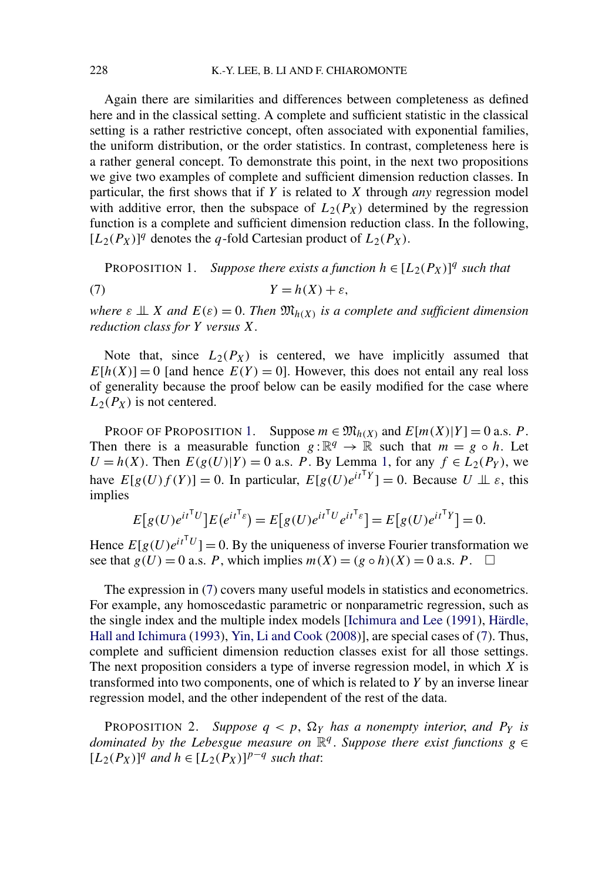Again there are similarities and differences between completeness as defined here and in the classical setting. A complete and sufficient statistic in the classical setting is a rather restrictive concept, often associated with exponential families, the uniform distribution, or the order statistics. In contrast, completeness here is a rather general concept. To demonstrate this point, in the next two propositions we give two examples of complete and sufficient dimension reduction classes. In particular, the first shows that if *Y* is related to *X* through *any* regression model with additive error, then the subspace of  $L_2(P_X)$  determined by the regression function is a complete and sufficient dimension reduction class. In the following,  $[L_2(P_X)]^q$  denotes the *q*-fold Cartesian product of  $L_2(P_X)$ .

PROPOSITION 1. *Suppose there exists a function*  $h \in [L_2(P_X)]^q$  *such that* 

$$
(7) \t Y = h(X) + \varepsilon,
$$

*where*  $\varepsilon \perp x$  *and*  $E(\varepsilon) = 0$ . *Then*  $\mathfrak{M}_{h(X)}$  *is a complete and sufficient dimension reduction class for Y versus X*.

Note that, since  $L_2(P_X)$  is centered, we have implicitly assumed that  $E[h(X)] = 0$  [and hence  $E(Y) = 0$ ]. However, this does not entail any real loss of generality because the proof below can be easily modified for the case where  $L_2(P_X)$  is not centered.

PROOF OF PROPOSITION 1. Suppose  $m \in \mathfrak{M}_{h(X)}$  and  $E[m(X)|Y] = 0$  a.s. *P*. Then there is a measurable function  $g : \mathbb{R}^q \to \mathbb{R}$  such that  $m = g \circ h$ . Let  $U = h(X)$ . Then  $E(g(U)|Y) = 0$  a.s. *P*. By Lemma [1,](#page-6-0) for any  $f \in L_2(P_Y)$ , we have  $E[g(U)f(Y)] = 0$ . In particular,  $E[g(U)e^{itTY}] = 0$ . Because  $U \perp \!\!\!\perp \varepsilon$ , this implies

$$
E[g(U)e^{it^{\mathsf{T}}U}]E(e^{it^{\mathsf{T}}\varepsilon}) = E[g(U)e^{it^{\mathsf{T}}U}e^{it^{\mathsf{T}}\varepsilon}] = E[g(U)e^{it^{\mathsf{T}}Y}] = 0.
$$

Hence  $E[g(U)e^{itT}U] = 0$ . By the uniqueness of inverse Fourier transformation we see that  $g(U) = 0$  a.s. *P*, which implies  $m(X) = (g \circ h)(X) = 0$  a.s. *P*.  $\square$ 

The expression in (7) covers many useful models in statistics and econometrics. For example, any homoscedastic parametric or nonparametric regression, such as the single index and the multiple index models [\[Ichimura and Lee](#page-27-0) [\(1991\)](#page-27-0), [Härdle,](#page-27-0) [Hall and Ichimura](#page-27-0) [\(1993\)](#page-27-0), [Yin, Li and Cook](#page-27-0) [\(2008\)](#page-27-0)], are special cases of (7). Thus, complete and sufficient dimension reduction classes exist for all those settings. The next proposition considers a type of inverse regression model, in which *X* is transformed into two components, one of which is related to *Y* by an inverse linear regression model, and the other independent of the rest of the data.

**PROPOSITION 2.** Suppose  $q < p$ ,  $\Omega_Y$  has a nonempty interior, and  $P_Y$  is *dominated by the Lebesgue measure on*  $\mathbb{R}^q$ . *Suppose there exist functions*  $g \in$  $[L_2(P_X)]^q$  *and*  $h$  ∈  $[L_2(P_X)]^{p-q}$  *such that:*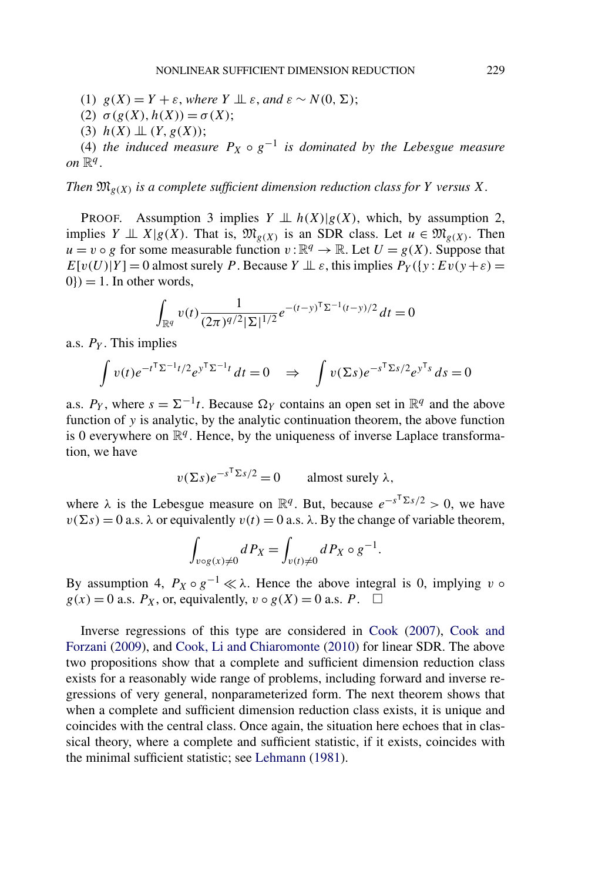(1)  $g(X) = Y + \varepsilon$ , where  $Y \perp \!\!\! \perp \varepsilon$ , and  $\varepsilon \sim N(0, \Sigma)$ ;

- (2)  $σ(g(X), h(X)) = σ(X);$
- (3)  $h(X) \perp (Y, g(X));$

(4) *the induced measure*  $P_X \circ g^{-1}$  *is dominated by the Lebesgue measure on*  $\mathbb{R}^q$ .

*Then*  $\mathfrak{M}_{g(X)}$  *is a complete sufficient dimension reduction class for Y versus X*.

PROOF. Assumption 3 implies  $Y \perp \!\!\!\perp h(X)|g(X)$ , which, by assumption 2, implies *Y*  $\perp \!\!\!\perp X|g(X)$ . That is,  $\mathfrak{M}_{g(X)}$  is an SDR class. Let  $u \in \mathfrak{M}_{g(X)}$ . Then  $u = v \circ g$  for some measurable function  $v : \mathbb{R}^q \to \mathbb{R}$ . Let  $U = g(X)$ . Suppose that  $E[v(U)|Y] = 0$  almost surely *P*. Because  $Y \perp\!\!\!\perp \varepsilon$ , this implies  $P_Y(\{y : Ev(y + \varepsilon) = 0\})$  $0$ } $) = 1$ . In other words,

$$
\int_{\mathbb{R}^q} v(t) \frac{1}{(2\pi)^{q/2} |\Sigma|^{1/2}} e^{-(t-y)^{\mathsf{T}} \Sigma^{-1} (t-y)/2} dt = 0
$$

a.s. *PY* . This implies

$$
\int v(t)e^{-t^{\mathsf{T}}\Sigma^{-1}t/2}e^{y^{\mathsf{T}}\Sigma^{-1}t}\,dt=0\quad\Rightarrow\quad\int v(\Sigma s)e^{-s^{\mathsf{T}}\Sigma s/2}e^{y^{\mathsf{T}}s}\,ds=0
$$

a.s.  $P_Y$ , where  $s = \Sigma^{-1}t$ . Because  $\Omega_Y$  contains an open set in  $\mathbb{R}^q$  and the above function of *y* is analytic, by the analytic continuation theorem, the above function is 0 everywhere on  $\mathbb{R}^q$ . Hence, by the uniqueness of inverse Laplace transformation, we have

$$
v(\Sigma s)e^{-s^T\Sigma s/2} = 0
$$
 almost surely  $\lambda$ ,

where  $\lambda$  is the Lebesgue measure on  $\mathbb{R}^q$ . But, because  $e^{-s^T\Sigma s/2} > 0$ , we have  $v(\Sigma s) = 0$  a.s.  $\lambda$  or equivalently  $v(t) = 0$  a.s.  $\lambda$ . By the change of variable theorem,

$$
\int_{\nu \circ g(x) \neq 0} dP_X = \int_{\nu(t) \neq 0} dP_X \circ g^{-1}.
$$

By assumption 4,  $P_X \circ g^{-1} \ll \lambda$ . Hence the above integral is 0, implying *v*  $\circ$  $g(x) = 0$  a.s.  $P_X$ , or, equivalently,  $v \circ g(X) = 0$  a.s.  $P$ .  $\Box$ 

Inverse regressions of this type are considered in [Cook](#page-26-0) [\(2007\)](#page-26-0), [Cook and](#page-26-0) [Forzani](#page-26-0) [\(2009\)](#page-26-0), and [Cook, Li and Chiaromonte](#page-26-0) [\(2010\)](#page-26-0) for linear SDR. The above two propositions show that a complete and sufficient dimension reduction class exists for a reasonably wide range of problems, including forward and inverse regressions of very general, nonparameterized form. The next theorem shows that when a complete and sufficient dimension reduction class exists, it is unique and coincides with the central class. Once again, the situation here echoes that in classical theory, where a complete and sufficient statistic, if it exists, coincides with the minimal sufficient statistic; see [Lehmann](#page-27-0) [\(1981\)](#page-27-0).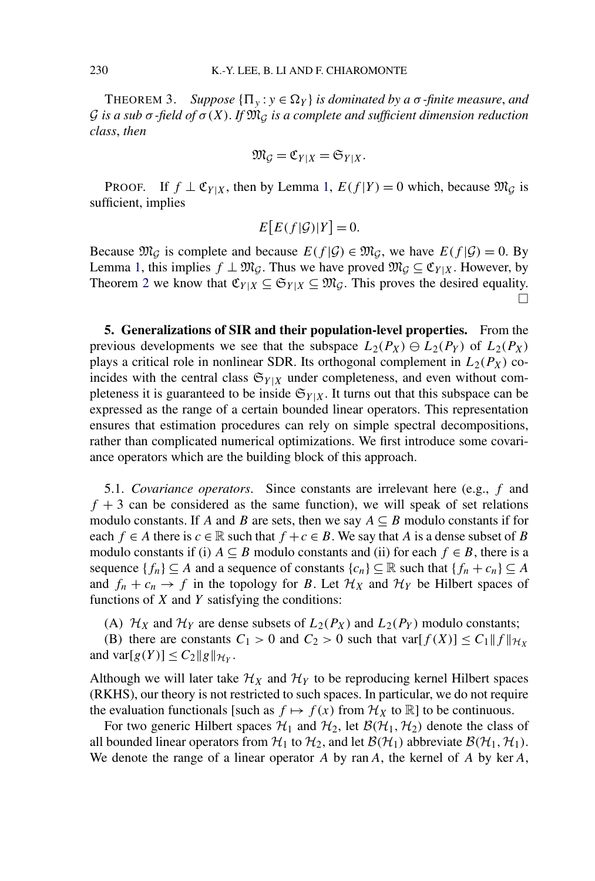<span id="page-9-0"></span>THEOREM 3. *Suppose*  ${\Pi_v : y \in \Omega_Y}$  *is dominated by a σ-finite measure, and* G *is a sub σ -field of σ(X)*. *If* M<sup>G</sup> *is a complete and sufficient dimension reduction class*, *then*

$$
\mathfrak{M}_{\mathcal{G}}=\mathfrak{C}_{Y|X}=\mathfrak{S}_{Y|X}.
$$

PROOF. If  $f \perp \mathfrak{C}_{Y|X}$ , then by Lemma [1,](#page-6-0)  $E(f|Y) = 0$  which, because  $\mathfrak{M}_G$  is sufficient, implies

$$
E\big[E(f|\mathcal{G})|Y\big]=0.
$$

Because  $\mathfrak{M}_G$  is complete and because  $E(f|\mathcal{G}) \in \mathfrak{M}_G$ , we have  $E(f|\mathcal{G}) = 0$ . By Lemma [1,](#page-6-0) this implies  $f \perp \mathfrak{M}_G$ . Thus we have proved  $\mathfrak{M}_G \subseteq \mathfrak{C}_{Y|X}$ . However, by Theorem [2](#page-6-0) we know that  $\mathfrak{C}_{Y|X} \subseteq \mathfrak{S}_{Y|X} \subseteq \mathfrak{M}_{G}$ . This proves the desired equality.  $\Box$ 

**5. Generalizations of SIR and their population-level properties.** From the previous developments we see that the subspace  $L_2(P_X) \oplus L_2(P_Y)$  of  $L_2(P_X)$ plays a critical role in nonlinear SDR. Its orthogonal complement in  $L_2(P_X)$  coincides with the central class  $\mathfrak{S}_{Y|X}$  under completeness, and even without completeness it is guaranteed to be inside  $\mathfrak{S}_{Y|X}$ . It turns out that this subspace can be expressed as the range of a certain bounded linear operators. This representation ensures that estimation procedures can rely on simple spectral decompositions, rather than complicated numerical optimizations. We first introduce some covariance operators which are the building block of this approach.

5.1. *Covariance operators*. Since constants are irrelevant here (e.g., *f* and  $f + 3$  can be considered as the same function), we will speak of set relations modulo constants. If *A* and *B* are sets, then we say  $A \subseteq B$  modulo constants if for each  $f \in A$  there is  $c \in \mathbb{R}$  such that  $f + c \in B$ . We say that *A* is a dense subset of *B* modulo constants if (i)  $A \subseteq B$  modulo constants and (ii) for each  $f \in B$ , there is a sequence  ${f_n} \subseteq A$  and a sequence of constants  ${c_n} \subseteq \mathbb{R}$  such that  ${f_n + c_n} \subseteq A$ and  $f_n + c_n \to f$  in the topology for *B*. Let  $\mathcal{H}_X$  and  $\mathcal{H}_Y$  be Hilbert spaces of functions of *X* and *Y* satisfying the conditions:

(A)  $\mathcal{H}_X$  and  $\mathcal{H}_Y$  are dense subsets of  $L_2(P_X)$  and  $L_2(P_Y)$  modulo constants;

(B) there are constants  $C_1 > 0$  and  $C_2 > 0$  such that  $var[f(X)] \leq C_1 ||f||_{\mathcal{H}_X}$ and  $\text{var}[g(Y)] \leq C_2 ||g||_{\mathcal{H}_Y}$ .

Although we will later take  $\mathcal{H}_X$  and  $\mathcal{H}_Y$  to be reproducing kernel Hilbert spaces (RKHS), our theory is not restricted to such spaces. In particular, we do not require the evaluation functionals [such as  $f \mapsto f(x)$  from  $\mathcal{H}_X$  to  $\mathbb{R}$ ] to be continuous.

For two generic Hilbert spaces  $H_1$  and  $H_2$ , let  $B(H_1, H_2)$  denote the class of all bounded linear operators from  $H_1$  to  $H_2$ , and let  $B(H_1)$  abbreviate  $B(H_1, H_1)$ . We denote the range of a linear operator *A* by ran*A*, the kernel of *A* by ker*A*,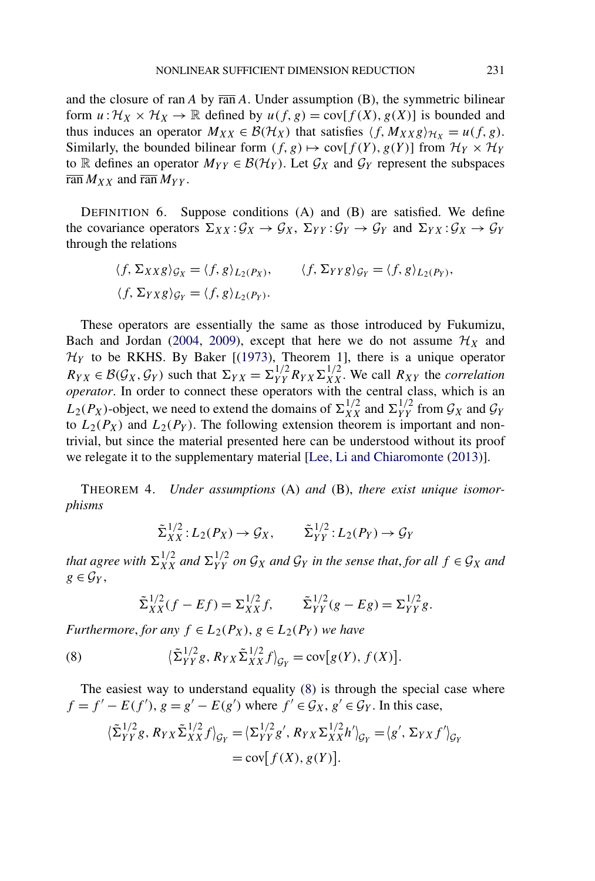<span id="page-10-0"></span>and the closure of ran  $A$  by  $\overline{ran} A$ . Under assumption  $(B)$ , the symmetric bilinear form  $u: \mathcal{H}_X \times \mathcal{H}_X \to \mathbb{R}$  defined by  $u(f, g) = cov[f(X), g(X)]$  is bounded and thus induces an operator  $M_{XX} \in \mathcal{B}(\mathcal{H}_X)$  that satisfies  $\langle f, M_{XX}g \rangle_{\mathcal{H}_X} = u(f, g)$ . Similarly, the bounded bilinear form  $(f, g) \mapsto \text{cov}[f(Y), g(Y)]$  from  $\mathcal{H}_Y \times \mathcal{H}_Y$ to R defines an operator  $M_{YY} \in \mathcal{B}(\mathcal{H}_Y)$ . Let  $\mathcal{G}_X$  and  $\mathcal{G}_Y$  represent the subspaces  $\overline{\operatorname{ran}} M_{XX}$  and  $\overline{\operatorname{ran}} M_{YY}$ .

DEFINITION 6. Suppose conditions (A) and (B) are satisfied. We define the covariance operators  $\Sigma_{XX} : \mathcal{G}_X \to \mathcal{G}_X$ ,  $\Sigma_{YY} : \mathcal{G}_Y \to \mathcal{G}_Y$  and  $\Sigma_{YX} : \mathcal{G}_X \to \mathcal{G}_Y$ through the relations

$$
\langle f, \Sigma_{XX}g \rangle_{\mathcal{G}_X} = \langle f, g \rangle_{L_2(P_X)}, \qquad \langle f, \Sigma_{YY}g \rangle_{\mathcal{G}_Y} = \langle f, g \rangle_{L_2(P_Y)},
$$
  

$$
\langle f, \Sigma_{YX}g \rangle_{\mathcal{G}_Y} = \langle f, g \rangle_{L_2(P_Y)}.
$$

These operators are essentially the same as those introduced by Fukumizu, Bach and Jordan [\(2004,](#page-27-0) [2009\)](#page-27-0), except that here we do not assume  $\mathcal{H}_X$  and  $\mathcal{H}_Y$  to be RKHS. By Baker [[\(1973\)](#page-26-0), Theorem 1], there is a unique operator  $R_{YX} \in \mathcal{B}(\mathcal{G}_X, \mathcal{G}_Y)$  such that  $\Sigma_{YX} = \Sigma_{YY}^{1/2} R_{YX} \Sigma_{XX}^{1/2}$ . We call  $R_{XY}$  the *correlation operator*. In order to connect these operators with the central class, which is an  $L_2(P_X)$ -object, we need to extend the domains of  $\Sigma_{XX}^{1/2}$  and  $\Sigma_{YY}^{1/2}$  from  $\mathcal{G}_X$  and  $\mathcal{G}_Y$ to  $L_2(P_X)$  and  $L_2(P_Y)$ . The following extension theorem is important and nontrivial, but since the material presented here can be understood without its proof we relegate it to the supplementary material [\[Lee, Li and Chiaromonte](#page-27-0) [\(2013\)](#page-27-0)].

THEOREM 4. *Under assumptions* (A) *and* (B), *there exist unique isomorphisms*

$$
\tilde{\Sigma}_{XX}^{1/2}: L_2(P_X) \to \mathcal{G}_X, \qquad \tilde{\Sigma}_{YY}^{1/2}: L_2(P_Y) \to \mathcal{G}_Y
$$

*that agree with*  $\Sigma_{XX}^{1/2}$  *and*  $\Sigma_{YY}^{1/2}$  *on*  $\mathcal{G}_X$  *and*  $\mathcal{G}_Y$  *in the sense that, for all*  $f \in \mathcal{G}_X$  *and*  $g \in \mathcal{G}_Y$ ,

$$
\tilde{\Sigma}_{XX}^{1/2}(f - Ef) = \Sigma_{XX}^{1/2}f, \qquad \tilde{\Sigma}_{YY}^{1/2}(g - Eg) = \Sigma_{YY}^{1/2}g.
$$

*Furthermore, for any*  $f \in L_2(P_X)$ ,  $g \in L_2(P_Y)$  *we have* 

(8) 
$$
\left\langle \tilde{\Sigma}_{YY}^{1/2}g, R_{YX}\tilde{\Sigma}_{XX}^{1/2}f \right\rangle_{\mathcal{G}_Y} = \text{cov}[g(Y), f(X)].
$$

The easiest way to understand equality (8) is through the special case where  $f = f' - E(f')$ ,  $g = g' - E(g')$  where  $f' \in \mathcal{G}_X$ ,  $g' \in \mathcal{G}_Y$ . In this case,

$$
\langle \tilde{\Sigma}_{YY}^{1/2}g, R_{YX}\tilde{\Sigma}_{XX}^{1/2}f \rangle_{\mathcal{G}_Y} = \langle \Sigma_{YY}^{1/2}g', R_{YX}\Sigma_{XX}^{1/2}h' \rangle_{\mathcal{G}_Y} = \langle g', \Sigma_{YX}f' \rangle_{\mathcal{G}_Y}
$$
  
= cov[f(X), g(Y)].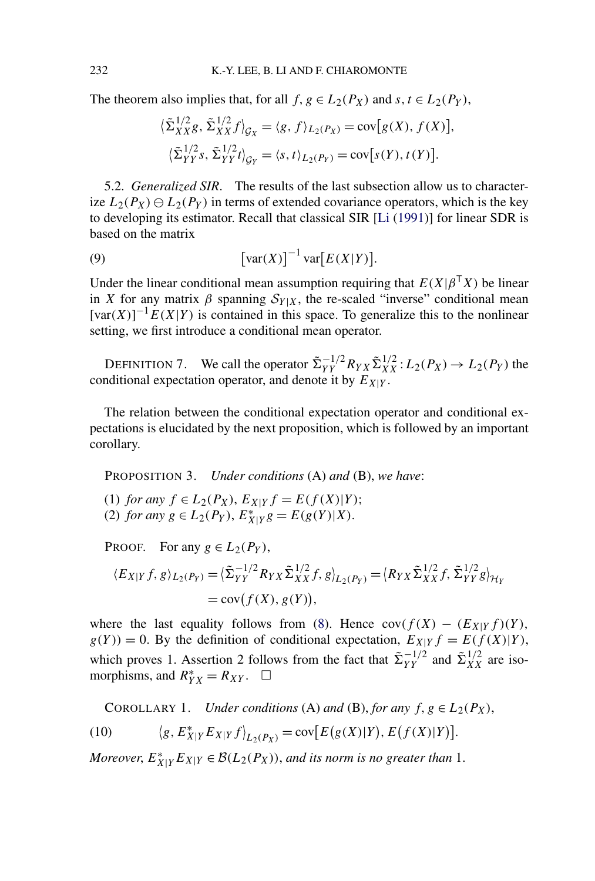<span id="page-11-0"></span>The theorem also implies that, for all  $f, g \in L_2(P_X)$  and  $s, t \in L_2(P_Y)$ ,

$$
\langle \tilde{\Sigma}_{XX}^{1/2} g, \tilde{\Sigma}_{XX}^{1/2} f \rangle_{\mathcal{G}_X} = \langle g, f \rangle_{L_2(P_X)} = \text{cov}[g(X), f(X)],
$$
  

$$
\langle \tilde{\Sigma}_{YY}^{1/2} s, \tilde{\Sigma}_{YY}^{1/2} t \rangle_{\mathcal{G}_Y} = \langle s, t \rangle_{L_2(P_Y)} = \text{cov}[s(Y), t(Y)].
$$

5.2. *Generalized SIR*. The results of the last subsection allow us to characterize  $L_2(P_X) \ominus L_2(P_Y)$  in terms of extended covariance operators, which is the key to developing its estimator. Recall that classical SIR [\[Li](#page-27-0) [\(1991\)](#page-27-0)] for linear SDR is based on the matrix

(9) 
$$
\left[\text{var}(X)\right]^{-1} \text{var}\left[E(X|Y)\right].
$$

Under the linear conditional mean assumption requiring that  $E(X|\beta^{T}X)$  be linear in *X* for any matrix  $\beta$  spanning  $S_{Y|X}$ , the re-scaled "inverse" conditional mean  $[\text{var}(X)]^{-1} E(X|Y)$  is contained in this space. To generalize this to the nonlinear setting, we first introduce a conditional mean operator.

DEFINITION 7. We call the operator  $\tilde{\Sigma}_{YY}^{-1/2} R_{YX} \tilde{\Sigma}_{XX}^{1/2} : L_2(P_X) \to L_2(P_Y)$  the conditional expectation operator, and denote it by  $E_{X|Y}$ .

The relation between the conditional expectation operator and conditional expectations is elucidated by the next proposition, which is followed by an important corollary.

PROPOSITION 3. *Under conditions* (A) *and* (B), *we have*:

(1) *for any f* ∈ *L*<sub>2</sub>(*P<sub>X</sub>*), *E<sub>X|</sub>Y f* = *E*(*f*(*X*)|*Y*);

(2) *for any*  $g \in L_2(P_Y)$ ,  $E_{X|Y}^* g = E(g(Y)|X)$ .

PROOF. For any  $g \in L_2(P_Y)$ ,

$$
\langle E_{X|Y} f, g \rangle_{L_2(P_Y)} = \langle \tilde{\Sigma}_{YY}^{-1/2} R_{YX} \tilde{\Sigma}_{XX}^{1/2} f, g \rangle_{L_2(P_Y)} = \langle R_{YX} \tilde{\Sigma}_{XX}^{1/2} f, \tilde{\Sigma}_{YY}^{1/2} g \rangle_{\mathcal{H}_Y} = \text{cov}(f(X), g(Y)),
$$

where the last equality follows from [\(8\)](#page-10-0). Hence  $cov(f(X) - (E_{X|Y}f)(Y))$ ,  $g(Y) = 0$ . By the definition of conditional expectation,  $E_{X|Y} f = E(f(X)|Y)$ , which proves 1. Assertion 2 follows from the fact that  $\tilde{\Sigma}_{YY}^{-1/2}$  and  $\tilde{\Sigma}_{XX}^{1/2}$  are isomorphisms, and  $R_{YX}^* = R_{XY}$ .  $\Box$ 

COROLLARY 1. *Under conditions* (A) *and* (B), *for any*  $f, g \in L_2(P_X)$ ,

(10) 
$$
\langle g, E_{X|Y}^* E_{X|Y} f \rangle_{L_2(P_X)} = \text{cov}[E(g(X)|Y), E(f(X)|Y)].
$$

*Moreover,*  $E_{X|Y}^*E_{X|Y} \in \mathcal{B}(L_2(P_X))$ , and its norm is no greater than 1.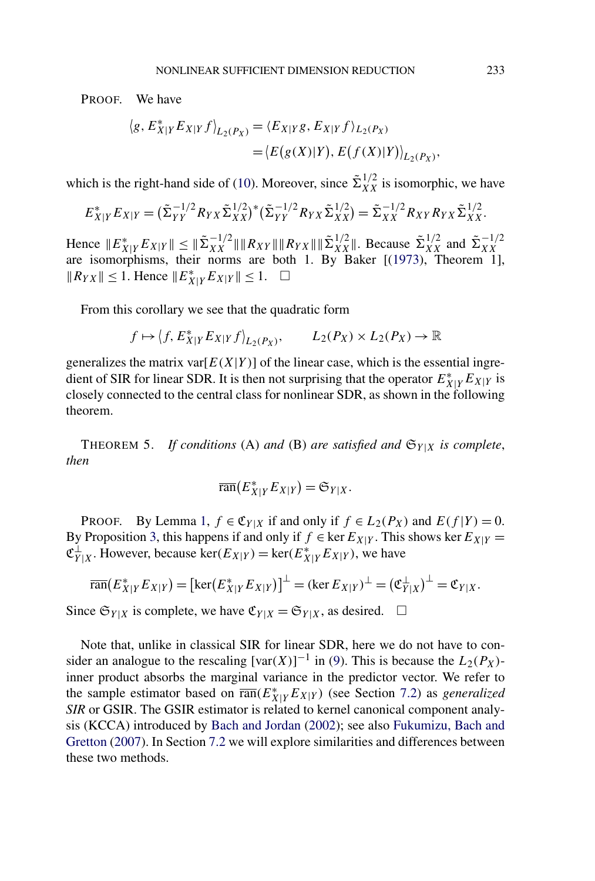<span id="page-12-0"></span>PROOF. We have

$$
\langle g, E_{X|Y}^* E_{X|Y} f \rangle_{L_2(P_X)} = \langle E_{X|Y} g, E_{X|Y} f \rangle_{L_2(P_X)}
$$
  
=  $\langle E(g(X)|Y), E(f(X)|Y) \rangle_{L_2(P_X)}$ 

which is the right-hand side of [\(10\)](#page-11-0). Moreover, since  $\tilde{\Sigma}_{XX}^{1/2}$  is isomorphic, we have

$$
E_{X|Y}^* E_{X|Y} = (\tilde{\Sigma}_{YY}^{-1/2} R_{YX} \tilde{\Sigma}_{XX}^{1/2})^* (\tilde{\Sigma}_{YY}^{-1/2} R_{YX} \tilde{\Sigma}_{XX}^{1/2}) = \tilde{\Sigma}_{XX}^{-1/2} R_{XY} R_{YX} \tilde{\Sigma}_{XX}^{1/2}.
$$

Hence  $||E_{X|Y}^*E_{X|Y}|| \le ||\tilde{\Sigma}_{XX}^{-1/2}|| ||R_{XY}|| ||R_{YX}|| ||\tilde{\Sigma}_{XX}^{1/2}||$ . Because  $\tilde{\Sigma}_{XX}^{1/2}$  and  $\tilde{\Sigma}_{XX}^{-1/2}$  are isomorphisms, their norms are both 1. By Baker [[\(1973\)](#page-26-0), Theorem 1],  $||R_{YX}|| \le 1$ . Hence  $||E_{X|Y}^*E_{X|Y}|| \le 1$ . □

From this corollary we see that the quadratic form

$$
f \mapsto \langle f, E_{X|Y}^* E_{X|Y} f \rangle_{L_2(P_X)}, \qquad L_2(P_X) \times L_2(P_X) \to \mathbb{R}
$$

generalizes the matrix var $[E(X|Y)]$  of the linear case, which is the essential ingredient of SIR for linear SDR. It is then not surprising that the operator  $E_{X|Y}^*E_{X|Y}$  is closely connected to the central class for nonlinear SDR, as shown in the following theorem.

THEOREM 5. *If conditions* (A) *and* (B) *are satisfied and*  $\mathfrak{S}_{Y|X}$  *is complete, then*

$$
\overline{\operatorname{ran}}(E_{X|Y}^*E_{X|Y})=\mathfrak{S}_{Y|X}.
$$

PROOF. By Lemma [1,](#page-6-0)  $f \in \mathfrak{C}_{Y|X}$  if and only if  $f \in L_2(P_X)$  and  $E(f|Y) = 0$ . By Proposition [3,](#page-11-0) this happens if and only if  $f \in \text{ker } E_{X|Y}$ . This shows ker  $E_{X|Y} =$  $\mathfrak{C}_{Y|X}^{\perp}$ . However, because ker $(E_{X|Y}) = \ker(E_{X|Y}^* E_{X|Y})$ , we have

$$
\overline{\text{ran}}(E_{X|Y}^* E_{X|Y}) = [\text{ker}(E_{X|Y}^* E_{X|Y})]^{\perp} = (\text{ker } E_{X|Y})^{\perp} = (\mathfrak{C}_{Y|X}^{\perp})^{\perp} = \mathfrak{C}_{Y|X}.
$$

Since  $\mathfrak{S}_{Y|X}$  is complete, we have  $\mathfrak{C}_{Y|X} = \mathfrak{S}_{Y|X}$ , as desired.  $\Box$ 

Note that, unlike in classical SIR for linear SDR, here we do not have to consider an analogue to the rescaling  $[\text{var}(X)]^{-1}$  in [\(9\)](#page-11-0). This is because the  $L_2(P_X)$ inner product absorbs the marginal variance in the predictor vector. We refer to the sample estimator based on  $\overline{ran}(E_{X|Y}^*E_{X|Y})$  (see Section [7.2\)](#page-17-0) as *generalized SIR* or GSIR. The GSIR estimator is related to kernel canonical component analysis (KCCA) introduced by [Bach and Jordan](#page-26-0) [\(2002\)](#page-26-0); see also [Fukumizu, Bach and](#page-27-0) [Gretton](#page-27-0) [\(2007\)](#page-27-0). In Section [7.2](#page-17-0) we will explore similarities and differences between these two methods.

*,*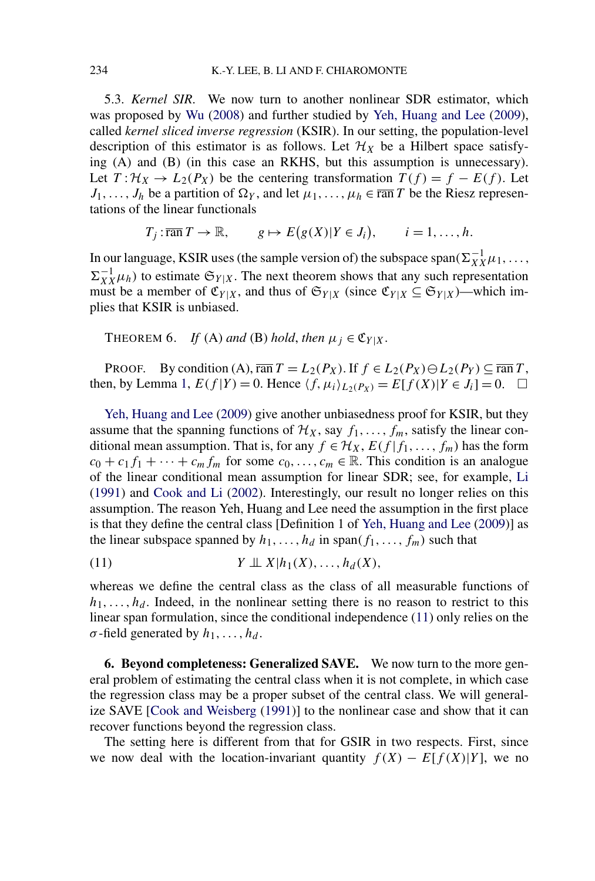<span id="page-13-0"></span>5.3. *Kernel SIR*. We now turn to another nonlinear SDR estimator, which was proposed by [Wu](#page-27-0) [\(2008\)](#page-27-0) and further studied by [Yeh, Huang and Lee](#page-27-0) [\(2009\)](#page-27-0), called *kernel sliced inverse regression* (KSIR). In our setting, the population-level description of this estimator is as follows. Let  $\mathcal{H}_X$  be a Hilbert space satisfying (A) and (B) (in this case an RKHS, but this assumption is unnecessary). Let  $T: \mathcal{H}_X \to L_2(P_X)$  be the centering transformation  $T(f) = f - E(f)$ . Let  $J_1, \ldots, J_h$  be a partition of  $\Omega_Y$ , and let  $\mu_1, \ldots, \mu_h \in \overline{\text{ran } T}$  be the Riesz representations of the linear functionals

 $T_j: \overline{\operatorname{ran}} T \to \mathbb{R}, \qquad g \mapsto E(g(X)|Y \in J_i), \qquad i = 1, \ldots, h.$ 

In our language, KSIR uses (the sample version of) the subspace span $(\Sigma_{XX}^{-1}\mu_1, \ldots,$  $\Sigma_{XX}^{-1}\mu_h$ ) to estimate  $\mathfrak{S}_{Y|X}$ . The next theorem shows that any such representation must be a member of  $\mathfrak{C}_{Y|X}$ , and thus of  $\mathfrak{S}_{Y|X}$  (since  $\mathfrak{C}_{Y|X} \subseteq \mathfrak{S}_{Y|X}$ )—which implies that KSIR is unbiased.

THEOREM 6. *If* (A) and (B) hold, then  $\mu_j \in \mathfrak{C}_{Y|X}$ .

PROOF. By condition (A),  $\overline{\text{ran}} T = L_2(P_X)$ . If  $f \in L_2(P_X) \oplus L_2(P_Y) \subseteq \overline{\text{ran}} T$ , then, by Lemma [1,](#page-6-0)  $E(f|Y) = 0$ . Hence  $\langle f, \mu_i \rangle_{L_2(P_X)} = E[f(X)|Y \in J_i] = 0$ .  $\Box$ 

[Yeh, Huang and Lee](#page-27-0) [\(2009\)](#page-27-0) give another unbiasedness proof for KSIR, but they assume that the spanning functions of  $\mathcal{H}_X$ , say  $f_1, \ldots, f_m$ , satisfy the linear conditional mean assumption. That is, for any  $f \in \mathcal{H}_X$ ,  $E(f | f_1, \ldots, f_m)$  has the form  $c_0 + c_1 f_1 + \cdots + c_m f_m$  for some  $c_0, \ldots, c_m \in \mathbb{R}$ . This condition is an analogue of the linear conditional mean assumption for linear SDR; see, for example, [Li](#page-27-0) [\(1991\)](#page-27-0) and [Cook and Li](#page-26-0) [\(2002\)](#page-26-0). Interestingly, our result no longer relies on this assumption. The reason Yeh, Huang and Lee need the assumption in the first place is that they define the central class [Definition 1 of [Yeh, Huang and Lee](#page-27-0) [\(2009\)](#page-27-0)] as the linear subspace spanned by  $h_1, \ldots, h_d$  in span $(f_1, \ldots, f_m)$  such that

$$
(11) \t\t Y \perp \perp X | h_1(X), \ldots, h_d(X),
$$

whereas we define the central class as the class of all measurable functions of  $h_1, \ldots, h_d$ . Indeed, in the nonlinear setting there is no reason to restrict to this linear span formulation, since the conditional independence (11) only relies on the  $\sigma$ -field generated by  $h_1, \ldots, h_d$ .

**6. Beyond completeness: Generalized SAVE.** We now turn to the more general problem of estimating the central class when it is not complete, in which case the regression class may be a proper subset of the central class. We will generalize SAVE [\[Cook and Weisberg](#page-27-0) [\(1991\)](#page-27-0)] to the nonlinear case and show that it can recover functions beyond the regression class.

The setting here is different from that for GSIR in two respects. First, since we now deal with the location-invariant quantity  $f(X) - E[f(X)|Y]$ , we no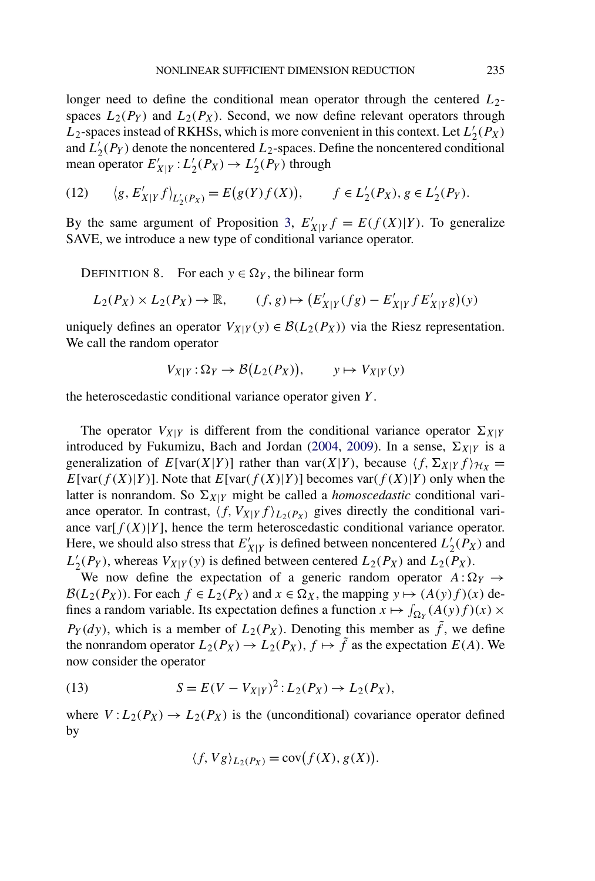<span id="page-14-0"></span>longer need to define the conditional mean operator through the centered  $L_2$ spaces  $L_2(P_Y)$  and  $L_2(P_X)$ . Second, we now define relevant operators through  $L_2$ -spaces instead of RKHSs, which is more convenient in this context. Let  $L'_2(P_X)$ and  $L'_{2}(P_{Y})$  denote the noncentered  $L_{2}$ -spaces. Define the noncentered conditional mean operator  $E'_{X|Y}$ :  $L'_{2}(P_{X}) \rightarrow L'_{2}(P_{Y})$  through

(12) 
$$
\langle g, E'_{X|Y} f \rangle_{L'_2(P_X)} = E(g(Y)f(X)), \qquad f \in L'_2(P_X), g \in L'_2(P_Y).
$$

By the same argument of Proposition [3,](#page-11-0)  $E'_{X|Y} f = E(f(X)|Y)$ . To generalize SAVE, we introduce a new type of conditional variance operator.

DEFINITION 8. For each  $y \in \Omega_Y$ , the bilinear form

$$
L_2(P_X) \times L_2(P_X) \to \mathbb{R}, \qquad (f, g) \mapsto (E'_{X|Y}(fg) - E'_{X|Y}fE'_{X|Y}g)(y)
$$

uniquely defines an operator  $V_{X|Y}(y) \in \mathcal{B}(L_2(P_X))$  via the Riesz representation. We call the random operator

$$
V_{X|Y} : \Omega_Y \to \mathcal{B}(L_2(P_X)), \qquad y \mapsto V_{X|Y}(y)
$$

the heteroscedastic conditional variance operator given *Y* .

The operator  $V_{X|Y}$  is different from the conditional variance operator  $\Sigma_{X|Y}$ introduced by Fukumizu, Bach and Jordan [\(2004,](#page-27-0) [2009\)](#page-27-0). In a sense,  $\Sigma_{X|Y}$  is a generalization of  $E[var(X|Y)]$  rather than var $(X|Y)$ , because  $\langle f, \Sigma_{X|Y} f \rangle_{\mathcal{H}_X} =$ *E*[var $(f(X)|Y)$ ]. Note that *E*[var $(f(X)|Y)$ ] becomes var $(f(X)|Y)$  only when the latter is nonrandom. So  $\Sigma_{X|Y}$  might be called a *homoscedastic* conditional variance operator. In contrast,  $\langle f, V_{X|Y} f \rangle_{L_2(P_X)}$  gives directly the conditional variance var $[f(X)|Y]$ , hence the term heteroscedastic conditional variance operator. Here, we should also stress that  $E'_{X|Y}$  is defined between noncentered  $L'_{2}(P_X)$  and  $L'_2(P_Y)$ , whereas  $V_{X|Y}(y)$  is defined between centered  $L_2(P_X)$  and  $L_2(P_X)$ .

We now define the expectation of a generic random operator  $A: \Omega_Y \to$  $\mathcal{B}(L_2(P_X))$ . For each  $f \in L_2(P_X)$  and  $x \in \Omega_X$ , the mapping  $y \mapsto (A(y)f)(x)$  defines a random variable. Its expectation defines a function  $x \mapsto \int_{\Omega_Y} (A(y)f)(x) \times$  $P_Y(dy)$ , which is a member of  $L_2(P_X)$ . Denoting this member as  $\tilde{f}$ , we define the nonrandom operator  $L_2(P_X) \to L_2(P_X)$ ,  $f \mapsto \tilde{f}$  as the expectation  $E(A)$ . We now consider the operator

(13) 
$$
S = E(V - V_{X|Y})^{2} : L_{2}(P_{X}) \to L_{2}(P_{X}),
$$

where  $V: L_2(P_X) \to L_2(P_X)$  is the (unconditional) covariance operator defined by

$$
\langle f, Vg \rangle_{L_2(P_X)} = \text{cov}(f(X), g(X)).
$$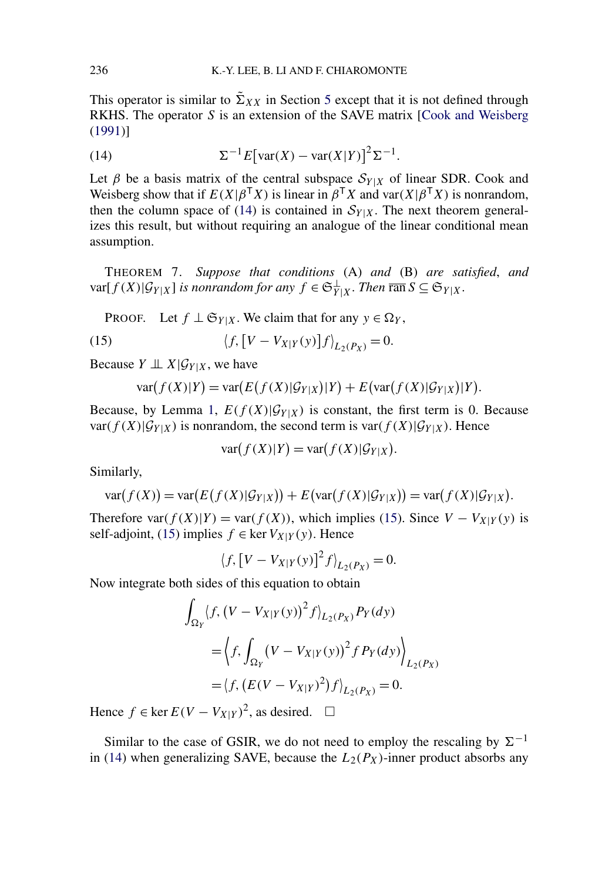<span id="page-15-0"></span>This operator is similar to  $\tilde{\Sigma}_{XX}$  in Section [5](#page-9-0) except that it is not defined through RKHS. The operator *S* is an extension of the SAVE matrix [\[Cook and Weisberg](#page-27-0) [\(1991\)](#page-27-0)]

(14) 
$$
\Sigma^{-1} E[\text{var}(X) - \text{var}(X|Y)]^2 \Sigma^{-1}.
$$

Let  $\beta$  be a basis matrix of the central subspace  $S_{Y|X}$  of linear SDR. Cook and Weisberg show that if  $E(X|\beta^{T}X)$  is linear in  $\beta^{T}X$  and var $(X|\beta^{T}X)$  is nonrandom, then the column space of (14) is contained in  $S_{Y|X}$ . The next theorem generalizes this result, but without requiring an analogue of the linear conditional mean assumption.

THEOREM 7. *Suppose that conditions* (A) *and* (B) *are satisfied*, *and*  $var[f(X)|\mathcal{G}_{Y|X}]$  *is nonrandom for any*  $f \in \mathfrak{S}_{Y|X}^{\perp}$ . *Then*  $\overline{ran} S \subseteq \mathfrak{S}_{Y|X}$ .

PROOF. Let  $f \perp \mathfrak{S}_{Y|X}$ . We claim that for any  $y \in \Omega_Y$ ,

(15) 
$$
\langle f, [V - V_{X|Y}(y)] f \rangle_{L_2(P_X)} = 0.
$$

Because  $Y \perp \!\!\! \perp X | \mathcal{G}_{Y|X}$ , we have

$$
var(f(X)|Y) = var(E(f(X)|\mathcal{G}_{Y|X})|Y) + E(var(f(X)|\mathcal{G}_{Y|X})|Y).
$$

Because, by Lemma [1,](#page-6-0)  $E(f(X)|\mathcal{G}_{Y|X})$  is constant, the first term is 0. Because  $var(f(X)|\mathcal{G}_{Y|X})$  is nonrandom, the second term is  $var(f(X)|\mathcal{G}_{Y|X})$ . Hence

$$
\text{var}(f(X)|Y) = \text{var}(f(X)|\mathcal{G}_{Y|X}).
$$

Similarly,

$$
\text{var}(f(X)) = \text{var}(E(f(X)|\mathcal{G}_{Y|X})) + E(\text{var}(f(X)|\mathcal{G}_{Y|X})) = \text{var}(f(X)|\mathcal{G}_{Y|X}).
$$

Therefore  $var(f(X)|Y) = var(f(X))$ , which implies (15). Since  $V - V_{X|Y}(y)$  is self-adjoint, (15) implies  $f \in \text{ker } V_{X|Y}(y)$ . Hence

$$
\langle f, [V - V_{X|Y}(y)]^2 f \rangle_{L_2(P_X)} = 0.
$$

Now integrate both sides of this equation to obtain

$$
\int_{\Omega_Y} \langle f, (V - V_{X|Y}(y))^2 f \rangle_{L_2(P_X)} P_Y(dy) \n= \left\langle f, \int_{\Omega_Y} (V - V_{X|Y}(y))^2 f P_Y(dy) \right\rangle_{L_2(P_X)} \n= \left\langle f, (E(V - V_{X|Y})^2) f \right\rangle_{L_2(P_X)} = 0.
$$

Hence  $f \in \ker E(V - V_{X|Y})^2$ , as desired.  $\Box$ 

Similar to the case of GSIR, we do not need to employ the rescaling by  $\Sigma^{-1}$ in (14) when generalizing SAVE, because the  $L_2(P_X)$ -inner product absorbs any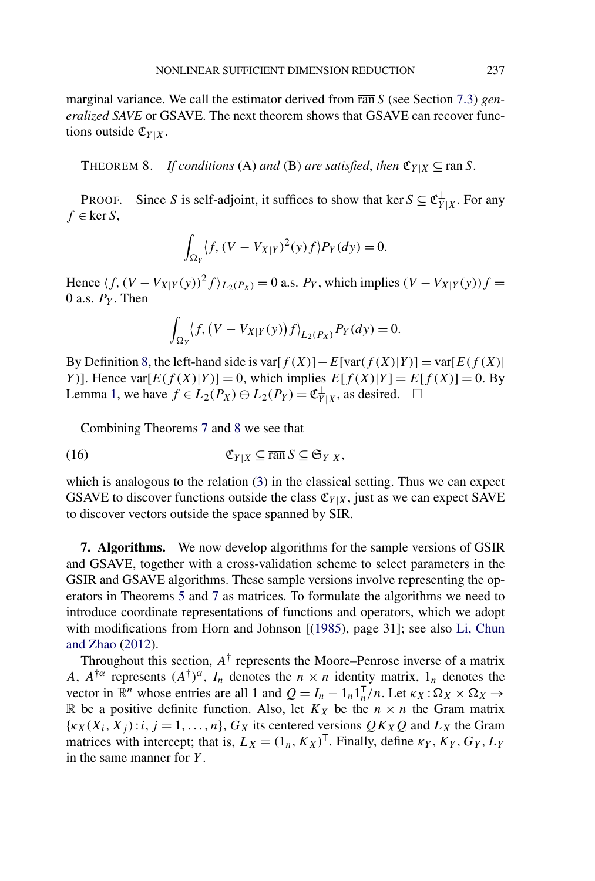<span id="page-16-0"></span>marginal variance. We call the estimator derived from ran *S* (see Section [7.3\)](#page-19-0) *generalized SAVE* or GSAVE. The next theorem shows that GSAVE can recover functions outside  $\mathfrak{C}_{Y|X}$ .

THEOREM 8. *If conditions* (A) *and* (B) *are satisfied, then*  $\mathfrak{C}_{Y|X} \subseteq \overline{\operatorname{ran}} S$ .

PROOF. Since *S* is self-adjoint, it suffices to show that ker  $S \subseteq \mathfrak{C}_{Y|X}^{\perp}$ . For any  $f \in \ker S$ ,

$$
\int_{\Omega_Y} \langle f, (V - V_{X|Y})^2(y) f \rangle P_Y(dy) = 0.
$$

Hence  $\langle f, (V - V_{X|Y}(y))^2 f \rangle_{L_2(P_X)} = 0$  a.s.  $P_Y$ , which implies  $(V - V_{X|Y}(y)) f =$ 0 a.s. *PY* . Then

$$
\int_{\Omega_Y} \langle f, (V - V_{X|Y}(y)) f \rangle_{L_2(P_X)} P_Y(dy) = 0.
$$

By Definition [8,](#page-14-0) the left-hand side is var $[f(X)] - E$ [var $(f(X)|Y)$ ] = var $[E(f(X))]$ *Y*)]. Hence  $\text{var}[E(f(X)|Y)] = 0$ , which implies  $E[f(X)|Y] = E[f(X)] = 0$ . By Lemma [1,](#page-6-0) we have  $f \in L_2(P_X) \ominus L_2(P_Y) = \mathfrak{C}_{Y|X}^{\perp}$ , as desired.  $□$ 

Combining Theorems [7](#page-15-0) and 8 we see that

$$
\mathfrak{C}_{Y|X} \subseteq \overline{\operatorname{ran}}\,S \subseteq \mathfrak{S}_{Y|X},
$$

which is analogous to the relation [\(3\)](#page-2-0) in the classical setting. Thus we can expect GSAVE to discover functions outside the class  $\mathfrak{C}_{Y|X}$ , just as we can expect SAVE to discover vectors outside the space spanned by SIR.

**7. Algorithms.** We now develop algorithms for the sample versions of GSIR and GSAVE, together with a cross-validation scheme to select parameters in the GSIR and GSAVE algorithms. These sample versions involve representing the operators in Theorems [5](#page-12-0) and [7](#page-15-0) as matrices. To formulate the algorithms we need to introduce coordinate representations of functions and operators, which we adopt with modifications from Horn and Johnson [[\(1985\)](#page-27-0), page 31]; see also [Li, Chun](#page-27-0) [and Zhao](#page-27-0) [\(2012\)](#page-27-0).

Throughout this section,  $A^{\dagger}$  represents the Moore–Penrose inverse of a matrix *A*,  $A^{\dagger\alpha}$  represents  $(A^{\dagger})^{\alpha}$ ,  $I_n$  denotes the  $n \times n$  identity matrix,  $1_n$  denotes the vector in  $\mathbb{R}^n$  whose entries are all 1 and  $Q = I_n - 1_n 1_n^T/n$ . Let  $\kappa_X : \Omega_X \times \Omega_X \to$ R be a positive definite function. Also, let  $K_X$  be the  $n \times n$  the Gram matrix  $\{k_X(X_i, X_j): i, j = 1, \ldots, n\}$ ,  $G_X$  its centered versions  $QK_XQ$  and  $L_X$  the Gram matrices with intercept; that is,  $L_X = (1_n, K_X)^T$ . Finally, define  $\kappa_Y, K_Y, G_Y, L_Y$ in the same manner for *Y* .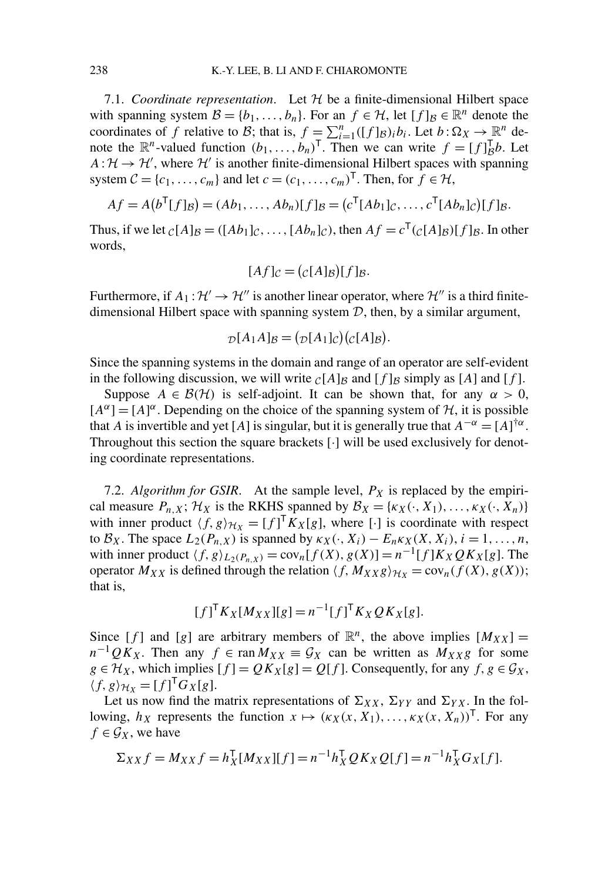<span id="page-17-0"></span>7.1. *Coordinate representation*. Let  $H$  be a finite-dimensional Hilbert space with spanning system  $\mathcal{B} = \{b_1, \ldots, b_n\}$ . For an  $f \in \mathcal{H}$ , let  $[f]_{\mathcal{B}} \in \mathbb{R}^n$  denote the coordinates of *f* relative to *B*; that is,  $f = \sum_{i=1}^{n} ([f]_B)_i b_i$ . Let  $b : \Omega_X \to \mathbb{R}^n$  denote the  $\mathbb{R}^n$ -valued function  $(b_1, \ldots, b_n)^\mathsf{T}$ . Then we can write  $f = [f]_B^\mathsf{T} b$ . Let  $A: \mathcal{H} \to \mathcal{H}'$ , where  $\mathcal{H}'$  is another finite-dimensional Hilbert spaces with spanning system  $C = \{c_1, \ldots, c_m\}$  and let  $c = (c_1, \ldots, c_m)^\top$ . Then, for  $f \in \mathcal{H}$ ,

$$
Af = A(bT[f]B) = (Ab1,..., Abn)[f]B = (cT[Ab1]C,..., cT[Abn]C)[f]B.
$$

Thus, if we let  $_{\mathcal{C}}[A]_{\mathcal{B}} = (\lceil Ab_1 \rceil_{\mathcal{C}}, \ldots, \lceil Ab_n \rceil_{\mathcal{C}})$ , then  $Af = c^{\mathsf{T}}(c[A]_{\mathcal{B}})[f]_{\mathcal{B}}$ . In other words,

$$
[Af]_{\mathcal{C}} = (c[A]_{\mathcal{B}})[f]_{\mathcal{B}}.
$$

Furthermore, if  $A_1: \mathcal{H}' \to \mathcal{H}''$  is another linear operator, where  $\mathcal{H}''$  is a third finitedimensional Hilbert space with spanning system  $D$ , then, by a similar argument,

$$
D[A_1A]_B = (D[A_1]_C)(C[A]_B).
$$

Since the spanning systems in the domain and range of an operator are self-evident in the following discussion, we will write  $_C[A]_B$  and  $[f]_B$  simply as [A] and [f].

Suppose  $A \in \mathcal{B}(\mathcal{H})$  is self-adjoint. It can be shown that, for any  $\alpha > 0$ ,  $[A^{\alpha}] = [A]^{\alpha}$ . Depending on the choice of the spanning system of  $H$ , it is possible that *A* is invertible and yet [*A*] is singular, but it is generally true that  $A^{-\alpha} = [A]^{+\alpha}$ . Throughout this section the square brackets [·] will be used exclusively for denoting coordinate representations.

7.2. *Algorithm for GSIR*. At the sample level,  $P_X$  is replaced by the empirical measure  $P_{n,X}$ ;  $\mathcal{H}_X$  is the RKHS spanned by  $\mathcal{B}_X = \{\kappa_X(\cdot, X_1), \ldots, \kappa_X(\cdot, X_n)\}\$ with inner product  $\langle f, g \rangle_{\mathcal{H}_X} = [f]^T K_X[g]$ , where [·] is coordinate with respect to  $\mathcal{B}_X$ . The space  $L_2(P_{n,X})$  is spanned by  $\kappa_X(\cdot, X_i) - E_n \kappa_X(X, X_i)$ ,  $i = 1, \ldots, n$ , with inner product  $\langle f, g \rangle_{L_2(P_n, x)} = \text{cov}_n[f(X), g(X)] = n^{-1}[f]K_XQK_X[g]$ . The operator  $M_{XX}$  is defined through the relation  $\langle f, M_{XX}g \rangle_{\mathcal{H}_X} = \text{cov}_n(f(X), g(X));$ that is,

$$
[f]^{T} K_X[M_{XX}][g] = n^{-1} [f]^{T} K_X Q K_X[g].
$$

Since [f] and [g] are arbitrary members of  $\mathbb{R}^n$ , the above implies  $[M_{XX}] =$  $n^{-1}QK_X$ . Then any  $f \in \text{ran } M_{XX} \equiv \mathcal{G}_X$  can be written as  $M_{XX}g$  for some  $g \in \mathcal{H}_X$ , which implies  $[f] = QK_X[g] = Q[f]$ . Consequently, for any  $f, g \in \mathcal{G}_X$ ,  $\langle f, g \rangle_{\mathcal{H}_X} = [f]^\mathsf{T} G_X[g].$ 

Let us now find the matrix representations of  $\Sigma_{XX}$ ,  $\Sigma_{YY}$  and  $\Sigma_{YX}$ . In the following,  $h_X$  represents the function  $x \mapsto (\kappa_X(x, X_1), \ldots, \kappa_X(x, X_n))^T$ . For any  $f \in \mathcal{G}_X$ , we have

$$
\Sigma_{XX} f = M_{XX} f = h_X^{\mathsf{T}} [M_{XX}][f] = n^{-1} h_X^{\mathsf{T}} Q K_X Q[f] = n^{-1} h_X^{\mathsf{T}} G_X[f].
$$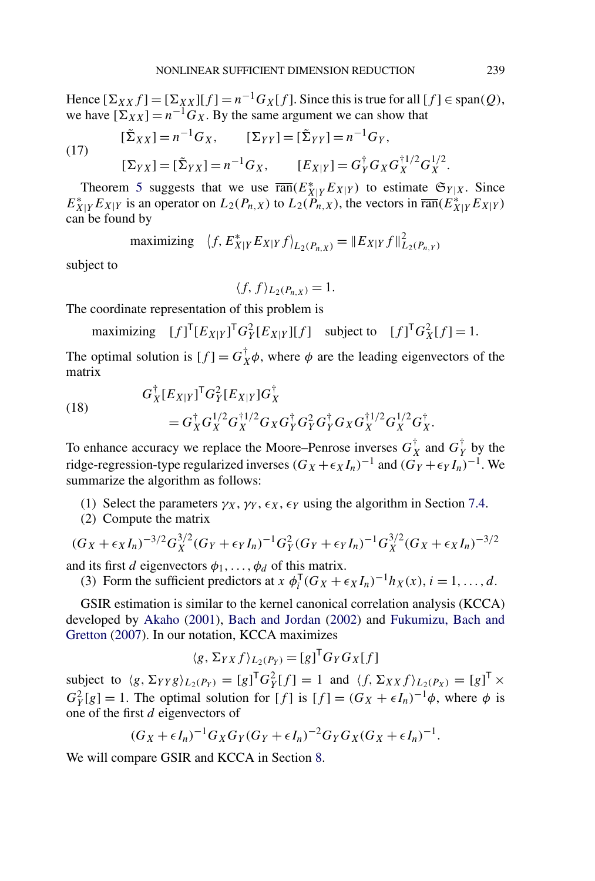Hence  $[\Sigma_{XX} f] = [\Sigma_{XX}][f] = n^{-1} G_X[f]$ . Since this is true for all  $[f] \in \text{span}(Q)$ , we have  $[\Sigma_{XX}] = n^{-1} G_X$ . By the same argument we can show that

(17) 
$$
[\tilde{\Sigma}_{XX}] = n^{-1}G_X, \qquad [\Sigma_{YY}] = [\tilde{\Sigma}_{YY}] = n^{-1}G_Y, [\Sigma_{YX}] = [\tilde{\Sigma}_{YX}] = n^{-1}G_X, \qquad [E_{X|Y}] = G_Y^{\dagger}G_X G_X^{\dagger 1/2} G_X^{1/2}.
$$

Theorem [5](#page-12-0) suggests that we use  $\overline{\text{ran}}(E_{X|Y}^*E_{X|Y})$  to estimate  $\mathfrak{S}_{Y|X}$ . Since  $E_{X|Y}^* E_{X|Y}$  is an operator on  $L_2(P_{n,X})$  to  $L_2(P_{n,X})$ , the vectors in  $\overline{\text{ran}}(E_{X|Y}^* E_{X|Y})$ can be found by

maximizing 
$$
\langle f, E_{X|Y}^* E_{X|Y} f \rangle_{L_2(P_{n,X})} = || E_{X|Y} f ||_{L_2(P_{n,Y})}^2
$$

subject to

$$
\langle f, f \rangle_{L_2(P_{n,X})} = 1.
$$

The coordinate representation of this problem is

maximizing  $[f]^\mathsf{T} [E_{X|Y}]^\mathsf{T} G_Y^2 [E_{X|Y}] [f]$  subject to  $[f]^\mathsf{T} G_X^2 [f] = 1$ .

The optimal solution is  $[f] = G_X^{\dagger} \phi$ , where  $\phi$  are the leading eigenvectors of the matrix

(18) 
$$
G_X^{\dagger} [E_{X|Y}]^{\mathsf{T}} G_Y^2 [E_{X|Y}] G_X^{\dagger} = G_X^{\dagger} G_X^{1/2} G_X^{\dagger} G_Y^{\dagger} G_Y^2 G_Y^{\dagger} G_X G_X^{\dagger 1/2} G_X^{1/2} G_X^{\dagger}.
$$

To enhance accuracy we replace the Moore–Penrose inverses  $G_X^{\dagger}$  and  $G_Y^{\dagger}$  by the ridge-regression-type regularized inverses  $(G_X + \epsilon_X I_n)^{-1}$  and  $(G_Y + \epsilon_Y I_n)^{-1}$ . We summarize the algorithm as follows:

- (1) Select the parameters  $\gamma_X$ ,  $\gamma_Y$ ,  $\epsilon_X$ ,  $\epsilon_Y$  using the algorithm in Section [7.4.](#page-20-0)
- (2) Compute the matrix

$$
(G_X + \epsilon_X I_n)^{-3/2} G_X^{3/2} (G_Y + \epsilon_Y I_n)^{-1} G_Y^2 (G_Y + \epsilon_Y I_n)^{-1} G_X^{3/2} (G_X + \epsilon_X I_n)^{-3/2}
$$

and its first *d* eigenvectors  $\phi_1, \ldots, \phi_d$  of this matrix.

(3) Form the sufficient predictors at  $x \phi_i^T (G_X + \epsilon_X I_n)^{-1} h_X(x)$ ,  $i = 1, ..., d$ .

GSIR estimation is similar to the kernel canonical correlation analysis (KCCA) developed by [Akaho](#page-26-0) [\(2001\)](#page-26-0), [Bach and Jordan](#page-26-0) [\(2002\)](#page-26-0) and [Fukumizu, Bach and](#page-27-0) [Gretton](#page-27-0) [\(2007\)](#page-27-0). In our notation, KCCA maximizes

$$
\langle g, \Sigma_{YX} f \rangle_{L_2(P_Y)} = [g]^{\mathsf{T}} G_Y G_X[f]
$$

subject to  $\langle g, \Sigma_{YY}g \rangle_{L_2(P_Y)} = [g]^T G_Y^2[f] = 1$  and  $\langle f, \Sigma_{XX} f \rangle_{L_2(P_X)} = [g]^T \times$  $G_Y^2[g] = 1$ . The optimal solution for [*f*] is  $[f] = (G_X + \epsilon I_n)^{-1}\phi$ , where  $\phi$  is one of the first *d* eigenvectors of

$$
(G_X+\epsilon I_n)^{-1}G_XG_Y(G_Y+\epsilon I_n)^{-2}G_YG_X(G_X+\epsilon I_n)^{-1}.
$$

We will compare GSIR and KCCA in Section [8.](#page-21-0)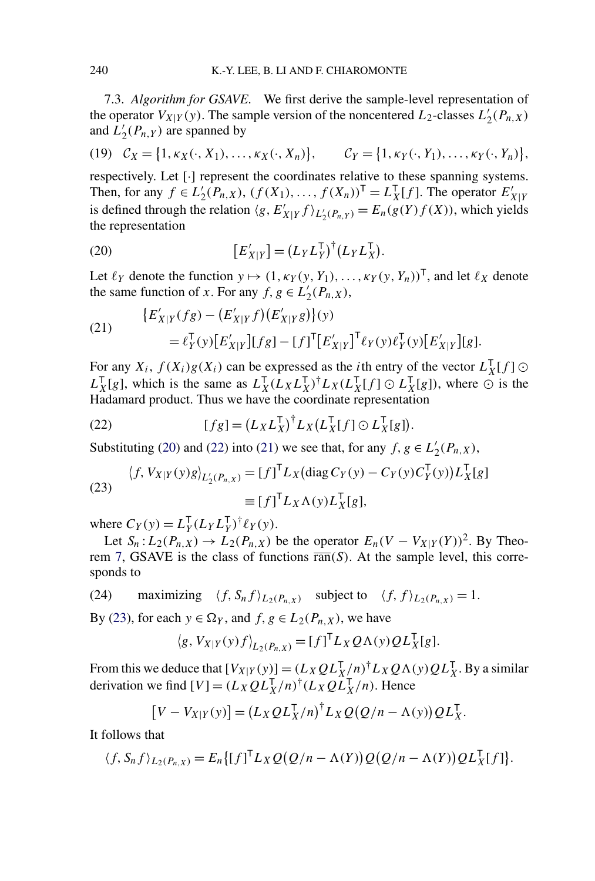<span id="page-19-0"></span>7.3. *Algorithm for GSAVE*. We first derive the sample-level representation of the operator  $V_{X|Y}(y)$ . The sample version of the noncentered  $L_2$ -classes  $L'_2(P_{n,X})$ and  $\tilde{L}'_2(P_{n,Y})$  are spanned by

(19) 
$$
C_X = \{1, \kappa_X(\cdot, X_1), \dots, \kappa_X(\cdot, X_n)\}, \qquad C_Y = \{1, \kappa_Y(\cdot, Y_1), \dots, \kappa_Y(\cdot, Y_n)\},
$$

respectively. Let [·] represent the coordinates relative to these spanning systems. Then, for any  $f \in L'_2(P_{n,X})$ ,  $(f(X_1),..., f(X_n))^T = L_X^T[f]$ . The operator  $E'_{X|Y}$  is defined through the relation  $\langle g, E'_{X|Y} f \rangle_{L'_2(P_{n,Y})} = E_n(g(Y)f(X))$ , which yields the representation

(20) 
$$
\left[E'_{X|Y}\right] = \left(L_Y L_Y^{\mathsf{T}}\right)^{\dagger} \left(L_Y L_X^{\mathsf{T}}\right).
$$

Let  $\ell_Y$  denote the function  $y \mapsto (1, \kappa_Y(y, Y_1), \ldots, \kappa_Y(y, Y_n))^T$ , and let  $\ell_X$  denote the same function of *x*. For any  $f, g \in L'_2(P_{n,X}),$ 

(21) 
$$
\{E'_{X|Y}(fg) - (E'_{X|Y}f)(E'_{X|Y}g)\}(y) = \ell_Y^{\mathsf{T}}(y)[E'_{X|Y}][fg] - [f]^{\mathsf{T}}[E'_{X|Y}]^{\mathsf{T}}\ell_Y(y)\ell_Y^{\mathsf{T}}(y)[E'_{X|Y}][g].
$$

For any  $X_i$ ,  $f(X_i)g(X_i)$  can be expressed as the *i*th entry of the vector  $L_X^{\mathsf{T}}[f] \odot$  $L_X^{\mathsf{T}}[g]$ , which is the same as  $L_X^{\mathsf{T}}(L_X L_X^{\mathsf{T}})^{\dagger} L_X(L_X^{\mathsf{T}}[f] \odot L_X^{\mathsf{T}}[g]$ , where  $\odot$  is the Hadamard product. Thus we have the coordinate representation

(22) 
$$
[fg] = (L_X L_X^{\mathsf{T}})^{\dagger} L_X (L_X^{\mathsf{T}}[f] \odot L_X^{\mathsf{T}}[g]).
$$

Substituting (20) and (22) into (21) we see that, for any  $f, g \in L'_2(P_{n,X})$ ,

(23) 
$$
\langle f, V_{X|Y}(y)g \rangle_{L_2(P_{n,X})} = [f]^{\mathsf{T}} L_X(\text{diag } C_Y(y) - C_Y(y)C_Y^{\mathsf{T}}(y)) L_X^{\mathsf{T}}[g]
$$

$$
\equiv [f]^{\mathsf{T}} L_X \Lambda(y) L_X^{\mathsf{T}}[g],
$$

where  $C_Y(y) = L_Y^{\mathsf{T}} (L_Y L_Y^{\mathsf{T}})^{\dagger} \ell_Y(y)$ .

Let  $S_n: L_2(P_{n,X}) \to L_2(P_{n,X})$  be the operator  $E_n(V - V_{X|Y}(Y))^2$ . By Theo-rem [7,](#page-15-0) GSAVE is the class of functions  $\overline{ran}(S)$ . At the sample level, this corresponds to

(24) maximizing  $\langle f, S_n f \rangle_{L_2(P_n, x)}$  subject to  $\langle f, f \rangle_{L_2(P_n, x)} = 1$ .

By (23), for each  $y \in \Omega_Y$ , and  $f, g \in L_2(P_{n,X})$ , we have

$$
\langle g, V_{X|Y}(y)f \rangle_{L_2(P_{n,X})} = [f]^{\mathsf{T}} L_X Q \Lambda(y) Q L_X^{\mathsf{T}}[g].
$$

From this we deduce that  $[V_{X|Y}(y)] = (L_X Q L_X^T/n)^{\dagger} L_X Q \Lambda(y) Q L_X^T$ . By a similar derivation we find  $[V] = (L_X Q L_X^T/n)^{\dagger} (L_X Q L_X^T/n)$ . Hence

$$
[V - V_{X|Y}(y)] = (L_X Q L_X^{\mathsf{T}} / n)^{\dagger} L_X Q (Q / n - \Lambda(y)) Q L_X^{\mathsf{T}}.
$$

It follows that

$$
\langle f, S_n f \rangle_{L_2(P_{n,X})} = E_n \{ [f]^{\mathsf{T}} L_X Q(Q/n - \Lambda(Y)) Q(Q/n - \Lambda(Y)) Q L_X^{\mathsf{T}}[f] \}.
$$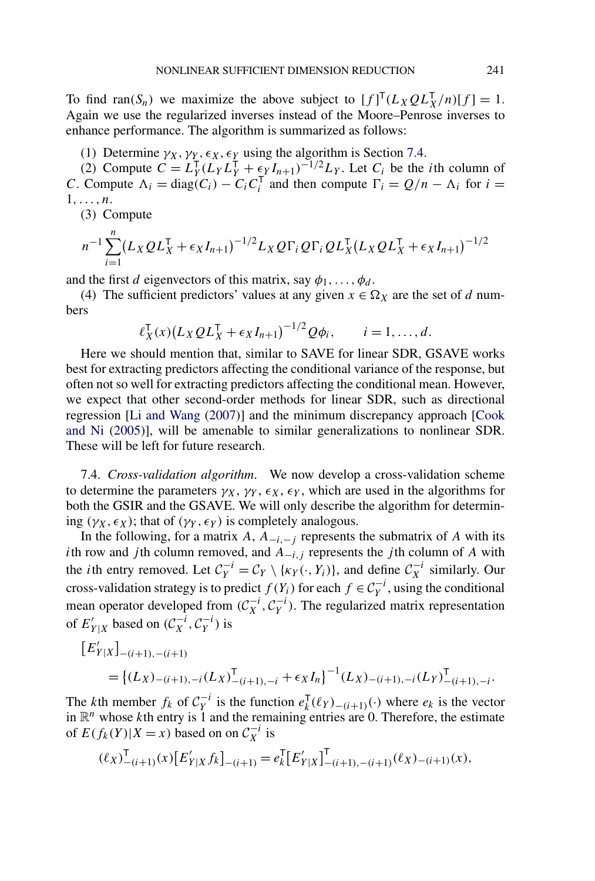<span id="page-20-0"></span>To find ran(S<sub>n</sub>) we maximize the above subject to  $[f]^{T}(L_{X}Q L_{X}^{T}/n)[f] = 1$ . Again we use the regularized inverses instead of the Moore–Penrose inverses to enhance performance. The algorithm is summarized as follows:

(1) Determine  $\gamma_X, \gamma_Y, \epsilon_X, \epsilon_Y$  using the algorithm is Section 7.4.

(2) Compute  $C = L_Y^{\mathsf{T}}(L_Y L_Y^{\mathsf{T}} + \epsilon_Y I_{n+1})^{-1/2}L_Y$ . Let  $C_i$  be the *i*th column of *C*. Compute  $\Lambda_i = \text{diag}(C_i) - C_i C_i^T$  and then compute  $\Gamma_i = Q/n - \Lambda_i$  for  $i =$ 1*,...,n*.

(3) Compute

$$
n^{-1}\sum_{i=1}^{n} (L_X Q L_X^{\mathsf{T}} + \epsilon_X I_{n+1})^{-1/2} L_X Q \Gamma_i Q \Gamma_i Q L_X^{\mathsf{T}} (L_X Q L_X^{\mathsf{T}} + \epsilon_X I_{n+1})^{-1/2}
$$

and the first *d* eigenvectors of this matrix, say  $\phi_1, \ldots, \phi_d$ .

(4) The sufficient predictors' values at any given  $x \in \Omega_X$  are the set of *d* numbers

$$
\ell_X^{\mathsf{T}}(x) (L_X Q L_X^{\mathsf{T}} + \epsilon_X I_{n+1})^{-1/2} Q \phi_i, \qquad i = 1, ..., d.
$$

Here we should mention that, similar to SAVE for linear SDR, GSAVE works best for extracting predictors affecting the conditional variance of the response, but often not so well for extracting predictors affecting the conditional mean. However, we expect that other second-order methods for linear SDR, such as directional regression [\[Li and Wang](#page-27-0) [\(2007\)](#page-27-0)] and the minimum discrepancy approach [\[Cook](#page-27-0) [and Ni](#page-27-0) [\(2005\)](#page-27-0)], will be amenable to similar generalizations to nonlinear SDR. These will be left for future research.

7.4. *Cross-validation algorithm*. We now develop a cross-validation scheme to determine the parameters  $\gamma_X$ ,  $\gamma_Y$ ,  $\epsilon_X$ ,  $\epsilon_Y$ , which are used in the algorithms for both the GSIR and the GSAVE. We will only describe the algorithm for determining  $(\gamma_X, \epsilon_X)$ ; that of  $(\gamma_Y, \epsilon_Y)$  is completely analogous.

In the following, for a matrix *A*,  $A_{-i,-j}$  represents the submatrix of *A* with its *i*th row and *j*th column removed, and  $A_{-i,j}$  represents the *j*th column of *A* with the *i*th entry removed. Let  $C_Y^{-i} = C_Y \setminus \{ \kappa_Y(\cdot, Y_i) \}$ , and define  $C_X^{-i}$  similarly. Our cross-validation strategy is to predict *f* (*Y<sub>i</sub>*) for each *f* ∈  $C_Y^{-i}$ , using the conditional mean operator developed from  $(C_X^{-i}, C_Y^{-i})$ . The regularized matrix representation of  $E'_{Y|X}$  based on  $(\mathcal{C}_X^{-i}, \mathcal{C}_Y^{-i})$  is

$$
\begin{aligned} \left[E'_{Y|X}\right]_{-(i+1),-(i+1)} \\ &= \left\{(L_X)_{-(i+1),-i}(L_X)_{-(i+1),-i}^\mathsf{T} + \epsilon_X I_n\right\}^{-1} (L_X)_{-(i+1),-i}(L_Y)_{-(i+1),-i}^\mathsf{T} .\end{aligned}
$$

The *k*th member  $f_k$  of  $C_Y^{-i}$  is the function  $e_k^{\mathsf{T}}(\ell_Y)_{-(i+1)}(·)$  where  $e_k$  is the vector in  $\mathbb{R}^n$  whose *k*th entry is 1 and the remaining entries are 0. Therefore, the estimate of  $E(f_k(Y)|X=x)$  based on on  $C_X^{-i}$  is

$$
(\ell_X)^{\mathsf{T}}_{-(i+1)}(x)[E'_{Y|X}f_k]_{-(i+1)} = e_k^{\mathsf{T}}[E'_{Y|X}]^{\mathsf{T}}_{-(i+1),-(i+1)}(\ell_X)_{-(i+1)}(x),
$$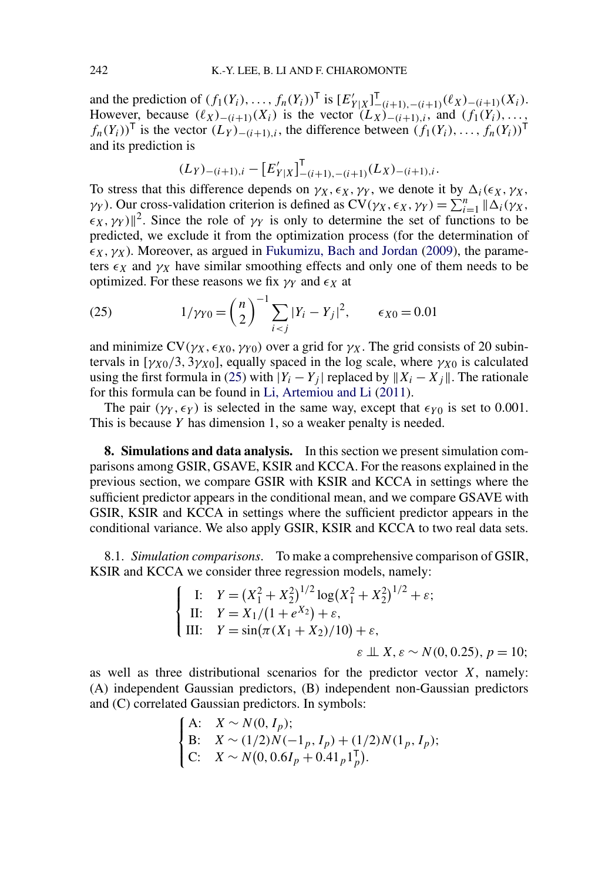<span id="page-21-0"></span>and the prediction of  $(f_1(Y_i),...,f_n(Y_i))^T$  is  $[E'_{Y|X}]_{-(i+1),-(i+1)}^T(\ell_X)_{-(i+1)}(X_i)$ . However, because  $(\ell_X)_{-(i+1)}(X_i)$  is the vector  $(L_X)_{-(i+1),i}$ , and  $(f_1(Y_i),...,$ *f<sub>n</sub>*(*Y<sub>i</sub>*))<sup>T</sup> is the vector  $(L_Y)$ − $(i+1),i$ , the difference between  $(f_1(Y_i),...,f_n(Y_i))^T$ and its prediction is

$$
(L_Y)_{-(i+1),i} - \left[E'_{Y|X}\right]_{-(i+1),-(i+1)}^{\mathsf{T}}(L_X)_{-(i+1),i}.
$$

To stress that this difference depends on  $\gamma_X, \epsilon_X, \gamma_Y$ , we denote it by  $\Delta_i(\epsilon_X, \gamma_X, \gamma_Y)$ *γY*). Our cross-validation criterion is defined as  $CV(\gamma_X, \epsilon_X, \gamma_Y) = \sum_{i=1}^n |\Delta_i(\gamma_X, \epsilon_X, \gamma_Y)|$  $(x, \gamma_Y)$ <sup>2</sup>. Since the role of  $\gamma_Y$  is only to determine the set of functions to be predicted, we exclude it from the optimization process (for the determination of  $\epsilon_X$ ,  $\gamma_X$ ). Moreover, as argued in [Fukumizu, Bach and Jordan](#page-27-0) [\(2009\)](#page-27-0), the parameters  $\epsilon_X$  and  $\gamma_X$  have similar smoothing effects and only one of them needs to be optimized. For these reasons we fix  $\gamma$ *y* and  $\epsilon$ *x* at

(25) 
$$
1/\gamma_{Y0} = {n \choose 2}^{-1} \sum_{i < j} |Y_i - Y_j|^2, \qquad \epsilon_{X0} = 0.01
$$

and minimize  $CV(\gamma_X, \epsilon_{X0}, \gamma_{Y0})$  over a grid for  $\gamma_X$ . The grid consists of 20 subintervals in  $[\gamma_{X0}/3, 3\gamma_{X0}]$ , equally spaced in the log scale, where  $\gamma_{X0}$  is calculated using the first formula in (25) with  $|Y_i - Y_j|$  replaced by  $||X_i - X_j||$ . The rationale for this formula can be found in [Li, Artemiou and Li](#page-27-0) [\(2011\)](#page-27-0).

The pair  $(\gamma_Y, \epsilon_Y)$  is selected in the same way, except that  $\epsilon_{Y0}$  is set to 0.001. This is because *Y* has dimension 1, so a weaker penalty is needed.

**8. Simulations and data analysis.** In this section we present simulation comparisons among GSIR, GSAVE, KSIR and KCCA. For the reasons explained in the previous section, we compare GSIR with KSIR and KCCA in settings where the sufficient predictor appears in the conditional mean, and we compare GSAVE with GSIR, KSIR and KCCA in settings where the sufficient predictor appears in the conditional variance. We also apply GSIR, KSIR and KCCA to two real data sets.

8.1. *Simulation comparisons*. To make a comprehensive comparison of GSIR, KSIR and KCCA we consider three regression models, namely:

$$
\begin{cases}\n\text{I:} & Y = \left(X_1^2 + X_2^2\right)^{1/2} \log\left(X_1^2 + X_2^2\right)^{1/2} + \varepsilon; \\
\text{II:} & Y = X_1/(1 + e^{X_2}) + \varepsilon, \\
\text{III:} & Y = \sin\left(\pi \left(X_1 + X_2\right)/10\right) + \varepsilon, \\
& \varepsilon \perp X, \varepsilon \sim N(0, 0.25), \, p = 10;\n\end{cases}
$$

as well as three distributional scenarios for the predictor vector *X*, namely: (A) independent Gaussian predictors, (B) independent non-Gaussian predictors and (C) correlated Gaussian predictors. In symbols:

A: 
$$
X \sim N(0, I_p)
$$
;  
\nB:  $X \sim (1/2)N(-1_p, I_p) + (1/2)N(1_p, I_p)$ ;  
\nC:  $X \sim N(0, 0.6I_p + 0.41_p 1_p^T)$ .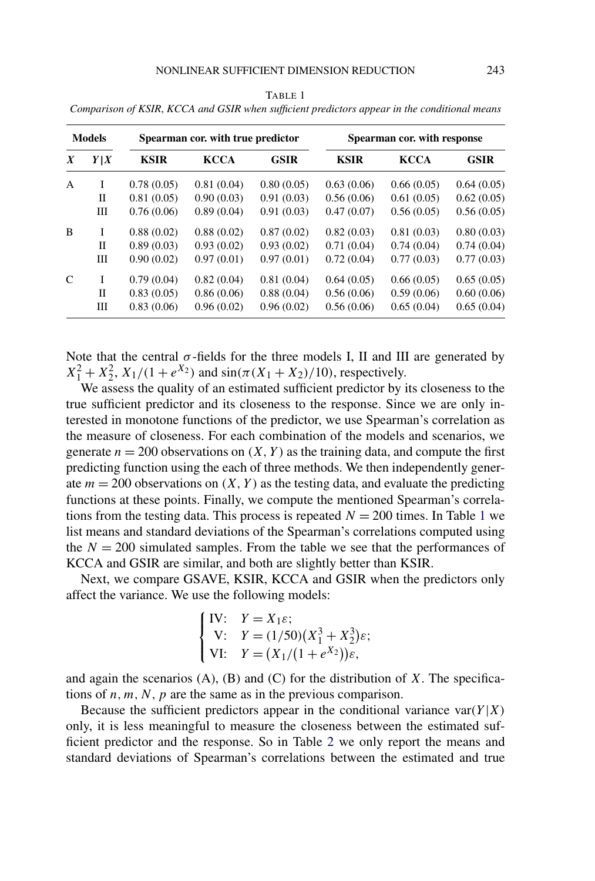## NONLINEAR SUFFICIENT DIMENSION REDUCTION 243

| <b>Models</b>    |     | Spearman cor. with true predictor |             |             | Spearman cor. with response |             |             |
|------------------|-----|-----------------------------------|-------------|-------------|-----------------------------|-------------|-------------|
| $\boldsymbol{X}$ | Y X | <b>KSIR</b>                       | <b>KCCA</b> | <b>GSIR</b> | <b>KSIR</b>                 | <b>KCCA</b> | <b>GSIR</b> |
| $\mathsf{A}$     | I   | 0.78(0.05)                        | 0.81(0.04)  | 0.80(0.05)  | 0.63(0.06)                  | 0.66(0.05)  | 0.64(0.05)  |
|                  | П   | 0.81(0.05)                        | 0.90(0.03)  | 0.91(0.03)  | 0.56(0.06)                  | 0.61(0.05)  | 0.62(0.05)  |
|                  | Ш   | 0.76(0.06)                        | 0.89(0.04)  | 0.91(0.03)  | 0.47(0.07)                  | 0.56(0.05)  | 0.56(0.05)  |
| B                | I   | 0.88(0.02)                        | 0.88(0.02)  | 0.87(0.02)  | 0.82(0.03)                  | 0.81(0.03)  | 0.80(0.03)  |
|                  | H   | 0.89(0.03)                        | 0.93(0.02)  | 0.93(0.02)  | 0.71(0.04)                  | 0.74(0.04)  | 0.74(0.04)  |
|                  | Ш   | 0.90(0.02)                        | 0.97(0.01)  | 0.97(0.01)  | 0.72(0.04)                  | 0.77(0.03)  | 0.77(0.03)  |
| $\mathsf{C}$     | I   | 0.79(0.04)                        | 0.82(0.04)  | 0.81(0.04)  | 0.64(0.05)                  | 0.66(0.05)  | 0.65(0.05)  |
|                  | H   | 0.83(0.05)                        | 0.86(0.06)  | 0.88(0.04)  | 0.56(0.06)                  | 0.59(0.06)  | 0.60(0.06)  |
|                  | Ш   | 0.83(0.06)                        | 0.96(0.02)  | 0.96(0.02)  | 0.56(0.06)                  | 0.65(0.04)  | 0.65(0.04)  |

TABLE 1 *Comparison of KSIR*, *KCCA and GSIR when sufficient predictors appear in the conditional means*

Note that the central  $\sigma$ -fields for the three models I, II and III are generated by  $X_1^2 + X_2^2$ ,  $X_1/(1 + e^{X_2})$  and  $\sin(\pi(X_1 + X_2)/10)$ , respectively.

We assess the quality of an estimated sufficient predictor by its closeness to the true sufficient predictor and its closeness to the response. Since we are only interested in monotone functions of the predictor, we use Spearman's correlation as the measure of closeness. For each combination of the models and scenarios, we generate  $n = 200$  observations on  $(X, Y)$  as the training data, and compute the first predicting function using the each of three methods. We then independently generate  $m = 200$  observations on  $(X, Y)$  as the testing data, and evaluate the predicting functions at these points. Finally, we compute the mentioned Spearman's correlations from the testing data. This process is repeated  $N = 200$  times. In Table 1 we list means and standard deviations of the Spearman's correlations computed using the  $N = 200$  simulated samples. From the table we see that the performances of KCCA and GSIR are similar, and both are slightly better than KSIR.

Next, we compare GSAVE, KSIR, KCCA and GSIR when the predictors only affect the variance. We use the following models:

$$
\begin{cases}\nIV: & Y = X_1 \varepsilon; \\
V: & Y = (1/50)(X_1^3 + X_2^3)\varepsilon; \\
VI: & Y = (X_1/(1 + e^{X_2}))\varepsilon,\n\end{cases}
$$

and again the scenarios (A), (B) and (C) for the distribution of *X*. The specifications of  $n, m, N, p$  are the same as in the previous comparison.

Because the sufficient predictors appear in the conditional variance  $var(Y|X)$ only, it is less meaningful to measure the closeness between the estimated sufficient predictor and the response. So in Table [2](#page-23-0) we only report the means and standard deviations of Spearman's correlations between the estimated and true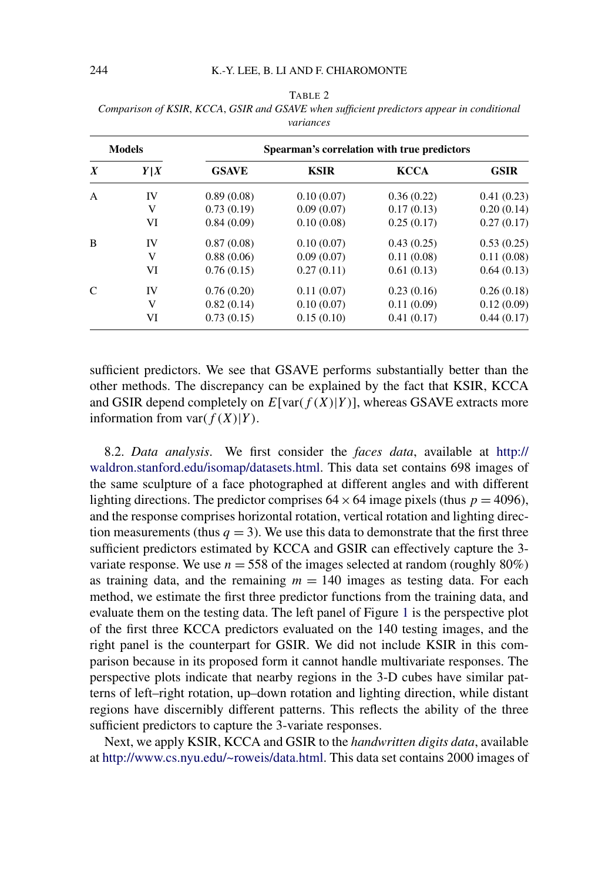| <b>Models</b>    |     |              |             | Spearman's correlation with true predictors |             |
|------------------|-----|--------------|-------------|---------------------------------------------|-------------|
| $\boldsymbol{X}$ | Y X | <b>GSAVE</b> | <b>KSIR</b> | <b>KCCA</b>                                 | <b>GSIR</b> |
| $\mathbf{A}$     | IV  | 0.89(0.08)   | 0.10(0.07)  | 0.36(0.22)                                  | 0.41(0.23)  |
|                  | V   | 0.73(0.19)   | 0.09(0.07)  | 0.17(0.13)                                  | 0.20(0.14)  |
|                  | VI  | 0.84(0.09)   | 0.10(0.08)  | 0.25(0.17)                                  | 0.27(0.17)  |
| B                | IV  | 0.87(0.08)   | 0.10(0.07)  | 0.43(0.25)                                  | 0.53(0.25)  |
|                  | V   | 0.88(0.06)   | 0.09(0.07)  | 0.11(0.08)                                  | 0.11(0.08)  |
|                  | VI  | 0.76(0.15)   | 0.27(0.11)  | 0.61(0.13)                                  | 0.64(0.13)  |
|                  | IV  | 0.76(0.20)   | 0.11(0.07)  | 0.23(0.16)                                  | 0.26(0.18)  |
|                  | V   | 0.82(0.14)   | 0.10(0.07)  | 0.11(0.09)                                  | 0.12(0.09)  |
|                  | VI  | 0.73(0.15)   | 0.15(0.10)  | 0.41(0.17)                                  | 0.44(0.17)  |

<span id="page-23-0"></span>TABLE 2 *Comparison of KSIR*, *KCCA*, *GSIR and GSAVE when sufficient predictors appear in conditional variances*

sufficient predictors. We see that GSAVE performs substantially better than the other methods. The discrepancy can be explained by the fact that KSIR, KCCA and GSIR depend completely on  $E$ [var $(f(X)|Y)$ ], whereas GSAVE extracts more information from var $(f(X)|Y)$ .

8.2. *Data analysis*. We first consider the *faces data*, available at [http://](http://waldron.stanford.edu/isomap/datasets.html) [waldron.stanford.edu/isomap/datasets.html.](http://waldron.stanford.edu/isomap/datasets.html) This data set contains 698 images of the same sculpture of a face photographed at different angles and with different lighting directions. The predictor comprises  $64 \times 64$  image pixels (thus  $p = 4096$ ), and the response comprises horizontal rotation, vertical rotation and lighting direction measurements (thus  $q = 3$ ). We use this data to demonstrate that the first three sufficient predictors estimated by KCCA and GSIR can effectively capture the 3 variate response. We use  $n = 558$  of the images selected at random (roughly 80%) as training data, and the remaining  $m = 140$  images as testing data. For each method, we estimate the first three predictor functions from the training data, and evaluate them on the testing data. The left panel of Figure [1](#page-24-0) is the perspective plot of the first three KCCA predictors evaluated on the 140 testing images, and the right panel is the counterpart for GSIR. We did not include KSIR in this comparison because in its proposed form it cannot handle multivariate responses. The perspective plots indicate that nearby regions in the 3-D cubes have similar patterns of left–right rotation, up–down rotation and lighting direction, while distant regions have discernibly different patterns. This reflects the ability of the three sufficient predictors to capture the 3-variate responses.

Next, we apply KSIR, KCCA and GSIR to the *handwritten digits data*, available at <http://www.cs.nyu.edu/~roweis/data.html>. This data set contains 2000 images of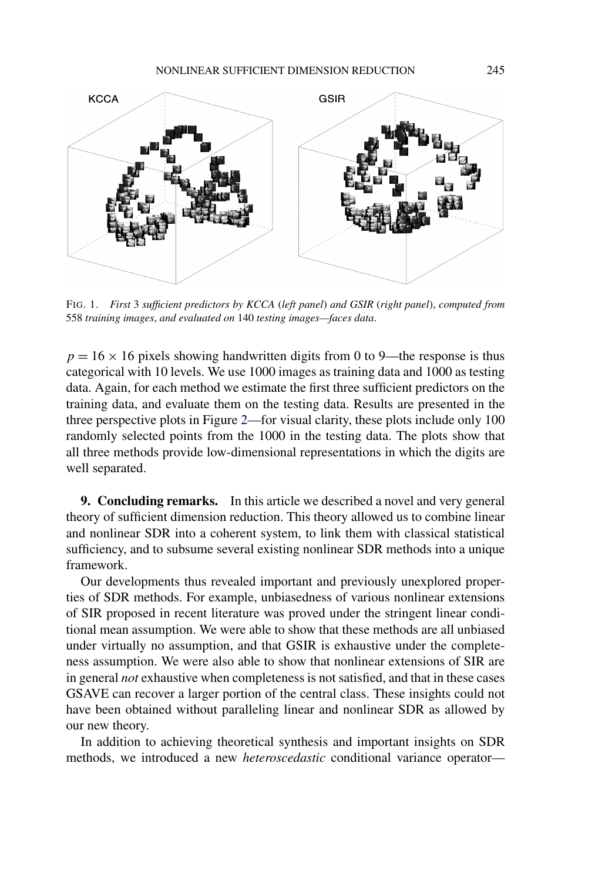<span id="page-24-0"></span>

FIG. 1. *First* 3 *sufficient predictors by KCCA* (*left panel*) *and GSIR* (*right panel*), *computed from* 558 *training images*, *and evaluated on* 140 *testing images—faces data*.

 $p = 16 \times 16$  pixels showing handwritten digits from 0 to 9—the response is thus categorical with 10 levels. We use 1000 images as training data and 1000 as testing data. Again, for each method we estimate the first three sufficient predictors on the training data, and evaluate them on the testing data. Results are presented in the three perspective plots in Figure [2—](#page-25-0)for visual clarity, these plots include only 100 randomly selected points from the 1000 in the testing data. The plots show that all three methods provide low-dimensional representations in which the digits are well separated.

**9. Concluding remarks.** In this article we described a novel and very general theory of sufficient dimension reduction. This theory allowed us to combine linear and nonlinear SDR into a coherent system, to link them with classical statistical sufficiency, and to subsume several existing nonlinear SDR methods into a unique framework.

Our developments thus revealed important and previously unexplored properties of SDR methods. For example, unbiasedness of various nonlinear extensions of SIR proposed in recent literature was proved under the stringent linear conditional mean assumption. We were able to show that these methods are all unbiased under virtually no assumption, and that GSIR is exhaustive under the completeness assumption. We were also able to show that nonlinear extensions of SIR are in general *not* exhaustive when completeness is not satisfied, and that in these cases GSAVE can recover a larger portion of the central class. These insights could not have been obtained without paralleling linear and nonlinear SDR as allowed by our new theory.

In addition to achieving theoretical synthesis and important insights on SDR methods, we introduced a new *heteroscedastic* conditional variance operator—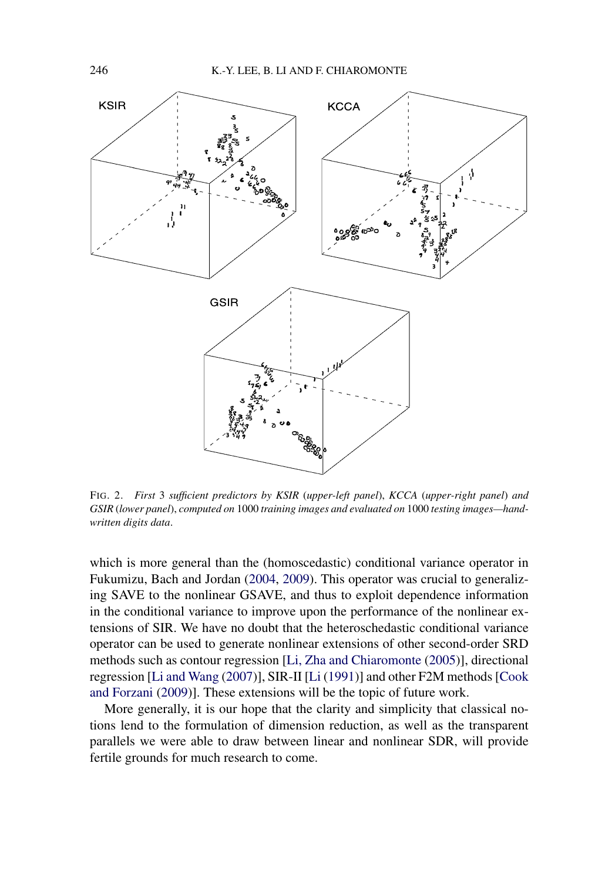<span id="page-25-0"></span>

FIG. 2. *First* 3 *sufficient predictors by KSIR* (*upper-left panel*), *KCCA* (*upper-right panel*) *and GSIR* (*lower panel*), *computed on* 1000 *training images and evaluated on* 1000 *testing images—handwritten digits data*.

which is more general than the (homoscedastic) conditional variance operator in Fukumizu, Bach and Jordan [\(2004,](#page-27-0) [2009\)](#page-27-0). This operator was crucial to generalizing SAVE to the nonlinear GSAVE, and thus to exploit dependence information in the conditional variance to improve upon the performance of the nonlinear extensions of SIR. We have no doubt that the heteroschedastic conditional variance operator can be used to generate nonlinear extensions of other second-order SRD methods such as contour regression [\[Li, Zha and Chiaromonte](#page-27-0) [\(2005\)](#page-27-0)], directional regression [\[Li and Wang](#page-27-0) [\(2007\)](#page-27-0)], SIR-II [\[Li](#page-27-0) [\(1991\)](#page-27-0)] and other F2M methods [\[Cook](#page-26-0) [and Forzani](#page-26-0) [\(2009\)](#page-26-0)]. These extensions will be the topic of future work.

More generally, it is our hope that the clarity and simplicity that classical notions lend to the formulation of dimension reduction, as well as the transparent parallels we were able to draw between linear and nonlinear SDR, will provide fertile grounds for much research to come.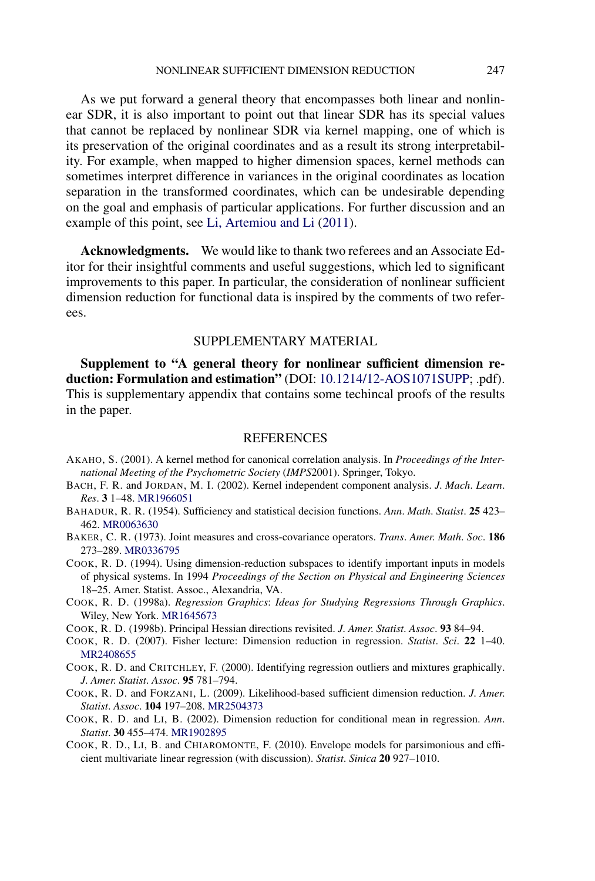<span id="page-26-0"></span>As we put forward a general theory that encompasses both linear and nonlinear SDR, it is also important to point out that linear SDR has its special values that cannot be replaced by nonlinear SDR via kernel mapping, one of which is its preservation of the original coordinates and as a result its strong interpretability. For example, when mapped to higher dimension spaces, kernel methods can sometimes interpret difference in variances in the original coordinates as location separation in the transformed coordinates, which can be undesirable depending on the goal and emphasis of particular applications. For further discussion and an example of this point, see [Li, Artemiou and Li](#page-27-0) [\(2011\)](#page-27-0).

**Acknowledgments.** We would like to thank two referees and an Associate Editor for their insightful comments and useful suggestions, which led to significant improvements to this paper. In particular, the consideration of nonlinear sufficient dimension reduction for functional data is inspired by the comments of two referees.

## SUPPLEMENTARY MATERIAL

**Supplement to "A general theory for nonlinear sufficient dimension reduction: Formulation and estimation"** (DOI: [10.1214/12-AOS1071SUPP;](http://dx.doi.org/10.1214/12-AOS1071SUPP) .pdf). This is supplementary appendix that contains some techincal proofs of the results in the paper.

## **REFERENCES**

- AKAHO, S. (2001). A kernel method for canonical correlation analysis. In *Proceedings of the International Meeting of the Psychometric Society* (*IMPS*2001). Springer, Tokyo.
- BACH, F. R. and JORDAN, M. I. (2002). Kernel independent component analysis. *J*. *Mach*. *Learn*. *Res*. **3** 1–48. [MR1966051](http://www.ams.org/mathscinet-getitem?mr=1966051)
- BAHADUR, R. R. (1954). Sufficiency and statistical decision functions. *Ann*. *Math*. *Statist*. **25** 423– 462. [MR0063630](http://www.ams.org/mathscinet-getitem?mr=0063630)
- BAKER, C. R. (1973). Joint measures and cross-covariance operators. *Trans*. *Amer*. *Math*. *Soc*. **186** 273–289. [MR0336795](http://www.ams.org/mathscinet-getitem?mr=0336795)
- COOK, R. D. (1994). Using dimension-reduction subspaces to identify important inputs in models of physical systems. In 1994 *Proceedings of the Section on Physical and Engineering Sciences* 18–25. Amer. Statist. Assoc., Alexandria, VA.
- COOK, R. D. (1998a). *Regression Graphics*: *Ideas for Studying Regressions Through Graphics*. Wiley, New York. [MR1645673](http://www.ams.org/mathscinet-getitem?mr=1645673)
- COOK, R. D. (1998b). Principal Hessian directions revisited. *J*. *Amer*. *Statist*. *Assoc*. **93** 84–94.
- COOK, R. D. (2007). Fisher lecture: Dimension reduction in regression. *Statist*. *Sci*. **22** 1–40. [MR2408655](http://www.ams.org/mathscinet-getitem?mr=2408655)
- COOK, R. D. and CRITCHLEY, F. (2000). Identifying regression outliers and mixtures graphically. *J*. *Amer*. *Statist*. *Assoc*. **95** 781–794.
- COOK, R. D. and FORZANI, L. (2009). Likelihood-based sufficient dimension reduction. *J*. *Amer*. *Statist*. *Assoc*. **104** 197–208. [MR2504373](http://www.ams.org/mathscinet-getitem?mr=2504373)
- COOK, R. D. and LI, B. (2002). Dimension reduction for conditional mean in regression. *Ann*. *Statist*. **30** 455–474. [MR1902895](http://www.ams.org/mathscinet-getitem?mr=1902895)
- COOK, R. D., LI, B. and CHIAROMONTE, F. (2010). Envelope models for parsimonious and efficient multivariate linear regression (with discussion). *Statist*. *Sinica* **20** 927–1010.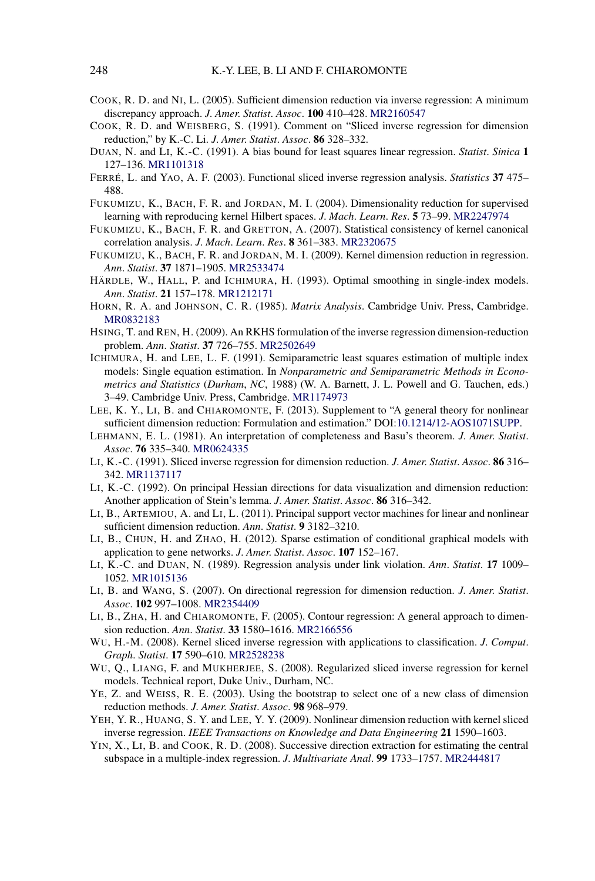- <span id="page-27-0"></span>COOK, R. D. and NI, L. (2005). Sufficient dimension reduction via inverse regression: A minimum discrepancy approach. *J*. *Amer*. *Statist*. *Assoc*. **100** 410–428. [MR2160547](http://www.ams.org/mathscinet-getitem?mr=2160547)
- COOK, R. D. and WEISBERG, S. (1991). Comment on "Sliced inverse regression for dimension reduction," by K.-C. Li. *J*. *Amer*. *Statist*. *Assoc*. **86** 328–332.
- DUAN, N. and LI, K.-C. (1991). A bias bound for least squares linear regression. *Statist*. *Sinica* **1** 127–136. [MR1101318](http://www.ams.org/mathscinet-getitem?mr=1101318)
- FERRÉ, L. and YAO, A. F. (2003). Functional sliced inverse regression analysis. *Statistics* **37** 475– 488.
- FUKUMIZU, K., BACH, F. R. and JORDAN, M. I. (2004). Dimensionality reduction for supervised learning with reproducing kernel Hilbert spaces. *J*. *Mach*. *Learn*. *Res*. **5** 73–99. [MR2247974](http://www.ams.org/mathscinet-getitem?mr=2247974)
- FUKUMIZU, K., BACH, F. R. and GRETTON, A. (2007). Statistical consistency of kernel canonical correlation analysis. *J*. *Mach*. *Learn*. *Res*. **8** 361–383. [MR2320675](http://www.ams.org/mathscinet-getitem?mr=2320675)
- FUKUMIZU, K., BACH, F. R. and JORDAN, M. I. (2009). Kernel dimension reduction in regression. *Ann*. *Statist*. **37** 1871–1905. [MR2533474](http://www.ams.org/mathscinet-getitem?mr=2533474)
- HÄRDLE, W., HALL, P. and ICHIMURA, H. (1993). Optimal smoothing in single-index models. *Ann*. *Statist*. **21** 157–178. [MR1212171](http://www.ams.org/mathscinet-getitem?mr=1212171)
- HORN, R. A. and JOHNSON, C. R. (1985). *Matrix Analysis*. Cambridge Univ. Press, Cambridge. [MR0832183](http://www.ams.org/mathscinet-getitem?mr=0832183)
- HSING, T. and REN, H. (2009). An RKHS formulation of the inverse regression dimension-reduction problem. *Ann*. *Statist*. **37** 726–755. [MR2502649](http://www.ams.org/mathscinet-getitem?mr=2502649)
- ICHIMURA, H. and LEE, L. F. (1991). Semiparametric least squares estimation of multiple index models: Single equation estimation. In *Nonparametric and Semiparametric Methods in Econometrics and Statistics* (*Durham*, *NC*, 1988) (W. A. Barnett, J. L. Powell and G. Tauchen, eds.) 3–49. Cambridge Univ. Press, Cambridge. [MR1174973](http://www.ams.org/mathscinet-getitem?mr=1174973)
- LEE, K. Y., LI, B. and CHIAROMONTE, F. (2013). Supplement to "A general theory for nonlinear sufficient dimension reduction: Formulation and estimation." DOI[:10.1214/12-AOS1071SUPP.](http://dx.doi.org/10.1214/12-AOS1071SUPP)
- LEHMANN, E. L. (1981). An interpretation of completeness and Basu's theorem. *J*. *Amer*. *Statist*. *Assoc*. **76** 335–340. [MR0624335](http://www.ams.org/mathscinet-getitem?mr=0624335)
- LI, K.-C. (1991). Sliced inverse regression for dimension reduction. *J*. *Amer*. *Statist*. *Assoc*. **86** 316– 342. [MR1137117](http://www.ams.org/mathscinet-getitem?mr=1137117)
- LI, K.-C. (1992). On principal Hessian directions for data visualization and dimension reduction: Another application of Stein's lemma. *J*. *Amer*. *Statist*. *Assoc*. **86** 316–342.
- LI, B., ARTEMIOU, A. and LI, L. (2011). Principal support vector machines for linear and nonlinear sufficient dimension reduction. *Ann*. *Statist*. **9** 3182–3210.
- LI, B., CHUN, H. and ZHAO, H. (2012). Sparse estimation of conditional graphical models with application to gene networks. *J*. *Amer*. *Statist*. *Assoc*. **107** 152–167.
- LI, K.-C. and DUAN, N. (1989). Regression analysis under link violation. *Ann*. *Statist*. **17** 1009– 1052. [MR1015136](http://www.ams.org/mathscinet-getitem?mr=1015136)
- LI, B. and WANG, S. (2007). On directional regression for dimension reduction. *J*. *Amer*. *Statist*. *Assoc*. **102** 997–1008. [MR2354409](http://www.ams.org/mathscinet-getitem?mr=2354409)
- LI, B., ZHA, H. and CHIAROMONTE, F. (2005). Contour regression: A general approach to dimension reduction. *Ann*. *Statist*. **33** 1580–1616. [MR2166556](http://www.ams.org/mathscinet-getitem?mr=2166556)
- WU, H.-M. (2008). Kernel sliced inverse regression with applications to classification. *J*. *Comput*. *Graph*. *Statist*. **17** 590–610. [MR2528238](http://www.ams.org/mathscinet-getitem?mr=2528238)
- WU, Q., LIANG, F. and MUKHERJEE, S. (2008). Regularized sliced inverse regression for kernel models. Technical report, Duke Univ., Durham, NC.
- YE, Z. and WEISS, R. E. (2003). Using the bootstrap to select one of a new class of dimension reduction methods. *J*. *Amer*. *Statist*. *Assoc*. **98** 968–979.
- YEH, Y. R., HUANG, S. Y. and LEE, Y. Y. (2009). Nonlinear dimension reduction with kernel sliced inverse regression. *IEEE Transactions on Knowledge and Data Engineering* **21** 1590–1603.
- YIN, X., LI, B. and COOK, R. D. (2008). Successive direction extraction for estimating the central subspace in a multiple-index regression. *J*. *Multivariate Anal*. **99** 1733–1757. [MR2444817](http://www.ams.org/mathscinet-getitem?mr=2444817)